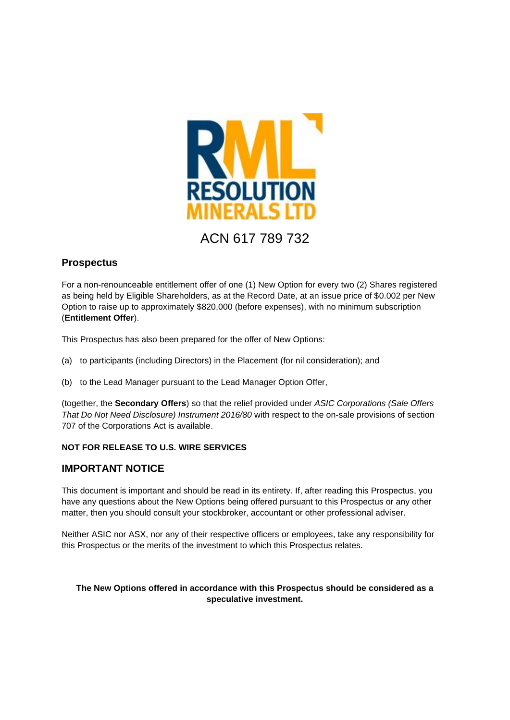

# ACN 617 789 732

# **Prospectus**

For a non-renounceable entitlement offer of one (1) New Option for every two (2) Shares registered as being held by Eligible Shareholders, as at the Record Date, at an issue price of \$0.002 per New Option to raise up to approximately \$820,000 (before expenses), with no minimum subscription (**Entitlement Offer**).

This Prospectus has also been prepared for the offer of New Options:

- (a) to participants (including Directors) in the Placement (for nil consideration); and
- (b) to the Lead Manager pursuant to the Lead Manager Option Offer,

(together, the **Secondary Offers**) so that the relief provided under *ASIC Corporations (Sale Offers That Do Not Need Disclosure) Instrument 2016/80* with respect to the on-sale provisions of section 707 of the Corporations Act is available.

## **NOT FOR RELEASE TO U.S. WIRE SERVICES**

# **IMPORTANT NOTICE**

This document is important and should be read in its entirety. If, after reading this Prospectus, you have any questions about the New Options being offered pursuant to this Prospectus or any other matter, then you should consult your stockbroker, accountant or other professional adviser.

Neither ASIC nor ASX, nor any of their respective officers or employees, take any responsibility for this Prospectus or the merits of the investment to which this Prospectus relates.

## **The New Options offered in accordance with this Prospectus should be considered as a speculative investment.**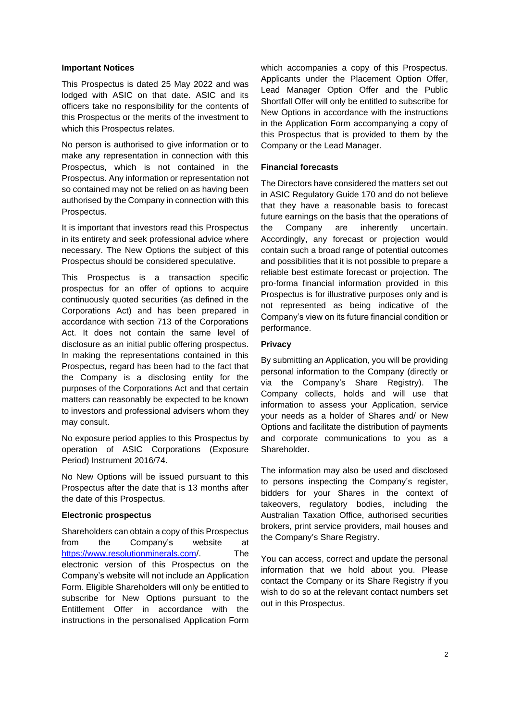#### **Important Notices**

This Prospectus is dated 25 May 2022 and was lodged with ASIC on that date. ASIC and its officers take no responsibility for the contents of this Prospectus or the merits of the investment to which this Prospectus relates.

No person is authorised to give information or to make any representation in connection with this Prospectus, which is not contained in the Prospectus. Any information or representation not so contained may not be relied on as having been authorised by the Company in connection with this Prospectus.

It is important that investors read this Prospectus in its entirety and seek professional advice where necessary. The New Options the subject of this Prospectus should be considered speculative.

This Prospectus is a transaction specific prospectus for an offer of options to acquire continuously quoted securities (as defined in the Corporations Act) and has been prepared in accordance with section 713 of the Corporations Act. It does not contain the same level of disclosure as an initial public offering prospectus. In making the representations contained in this Prospectus, regard has been had to the fact that the Company is a disclosing entity for the purposes of the Corporations Act and that certain matters can reasonably be expected to be known to investors and professional advisers whom they may consult.

No exposure period applies to this Prospectus by operation of ASIC Corporations (Exposure Period) Instrument 2016/74.

No New Options will be issued pursuant to this Prospectus after the date that is 13 months after the date of this Prospectus.

#### **Electronic prospectus**

Shareholders can obtain a copy of this Prospectus from the Company's website at <https://www.resolutionminerals.com/>. The electronic version of this Prospectus on the Company's website will not include an Application Form. Eligible Shareholders will only be entitled to subscribe for New Options pursuant to the Entitlement Offer in accordance with the instructions in the personalised Application Form

which accompanies a copy of this Prospectus. Applicants under the Placement Option Offer, Lead Manager Option Offer and the Public Shortfall Offer will only be entitled to subscribe for New Options in accordance with the instructions in the Application Form accompanying a copy of this Prospectus that is provided to them by the Company or the Lead Manager.

#### **Financial forecasts**

The Directors have considered the matters set out in ASIC Regulatory Guide 170 and do not believe that they have a reasonable basis to forecast future earnings on the basis that the operations of the Company are inherently uncertain. Accordingly, any forecast or projection would contain such a broad range of potential outcomes and possibilities that it is not possible to prepare a reliable best estimate forecast or projection. The pro-forma financial information provided in this Prospectus is for illustrative purposes only and is not represented as being indicative of the Company's view on its future financial condition or performance.

#### **Privacy**

By submitting an Application, you will be providing personal information to the Company (directly or via the Company's Share Registry). The Company collects, holds and will use that information to assess your Application, service your needs as a holder of Shares and/ or New Options and facilitate the distribution of payments and corporate communications to you as a Shareholder.

The information may also be used and disclosed to persons inspecting the Company's register, bidders for your Shares in the context of takeovers, regulatory bodies, including the Australian Taxation Office, authorised securities brokers, print service providers, mail houses and the Company's Share Registry.

You can access, correct and update the personal information that we hold about you. Please contact the Company or its Share Registry if you wish to do so at the relevant contact numbers set out in this Prospectus.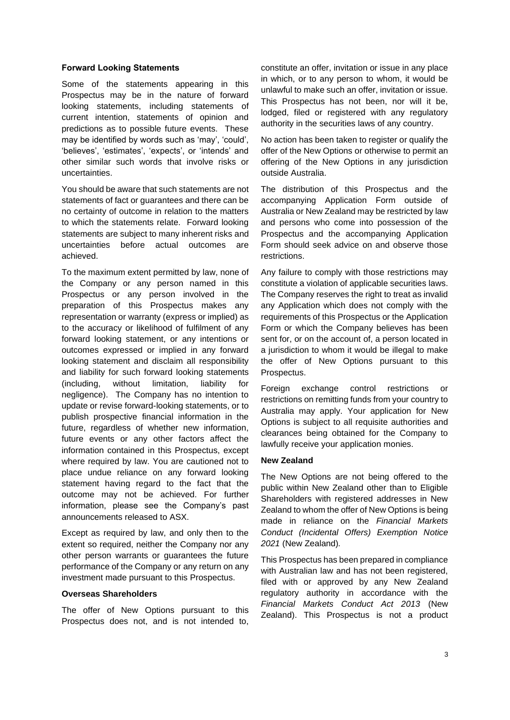#### **Forward Looking Statements**

Some of the statements appearing in this Prospectus may be in the nature of forward looking statements, including statements of current intention, statements of opinion and predictions as to possible future events. These may be identified by words such as 'may', 'could', 'believes', 'estimates', 'expects', or 'intends' and other similar such words that involve risks or uncertainties.

You should be aware that such statements are not statements of fact or guarantees and there can be no certainty of outcome in relation to the matters to which the statements relate. Forward looking statements are subject to many inherent risks and uncertainties before actual outcomes are achieved.

To the maximum extent permitted by law, none of the Company or any person named in this Prospectus or any person involved in the preparation of this Prospectus makes any representation or warranty (express or implied) as to the accuracy or likelihood of fulfilment of any forward looking statement, or any intentions or outcomes expressed or implied in any forward looking statement and disclaim all responsibility and liability for such forward looking statements (including, without limitation, liability for negligence). The Company has no intention to update or revise forward-looking statements, or to publish prospective financial information in the future, regardless of whether new information, future events or any other factors affect the information contained in this Prospectus, except where required by law. You are cautioned not to place undue reliance on any forward looking statement having regard to the fact that the outcome may not be achieved. For further information, please see the Company's past announcements released to ASX.

Except as required by law, and only then to the extent so required, neither the Company nor any other person warrants or guarantees the future performance of the Company or any return on any investment made pursuant to this Prospectus.

#### **Overseas Shareholders**

The offer of New Options pursuant to this Prospectus does not, and is not intended to,

constitute an offer, invitation or issue in any place in which, or to any person to whom, it would be unlawful to make such an offer, invitation or issue. This Prospectus has not been, nor will it be, lodged, filed or registered with any regulatory authority in the securities laws of any country.

No action has been taken to register or qualify the offer of the New Options or otherwise to permit an offering of the New Options in any jurisdiction outside Australia.

The distribution of this Prospectus and the accompanying Application Form outside of Australia or New Zealand may be restricted by law and persons who come into possession of the Prospectus and the accompanying Application Form should seek advice on and observe those restrictions.

Any failure to comply with those restrictions may constitute a violation of applicable securities laws. The Company reserves the right to treat as invalid any Application which does not comply with the requirements of this Prospectus or the Application Form or which the Company believes has been sent for, or on the account of, a person located in a jurisdiction to whom it would be illegal to make the offer of New Options pursuant to this Prospectus.

Foreign exchange control restrictions or restrictions on remitting funds from your country to Australia may apply. Your application for New Options is subject to all requisite authorities and clearances being obtained for the Company to lawfully receive your application monies.

#### **New Zealand**

The New Options are not being offered to the public within New Zealand other than to Eligible Shareholders with registered addresses in New Zealand to whom the offer of New Options is being made in reliance on the *Financial Markets Conduct (Incidental Offers) Exemption Notice 2021* (New Zealand)*.* 

This Prospectus has been prepared in compliance with Australian law and has not been registered, filed with or approved by any New Zealand regulatory authority in accordance with the *Financial Markets Conduct Act 2013* (New Zealand). This Prospectus is not a product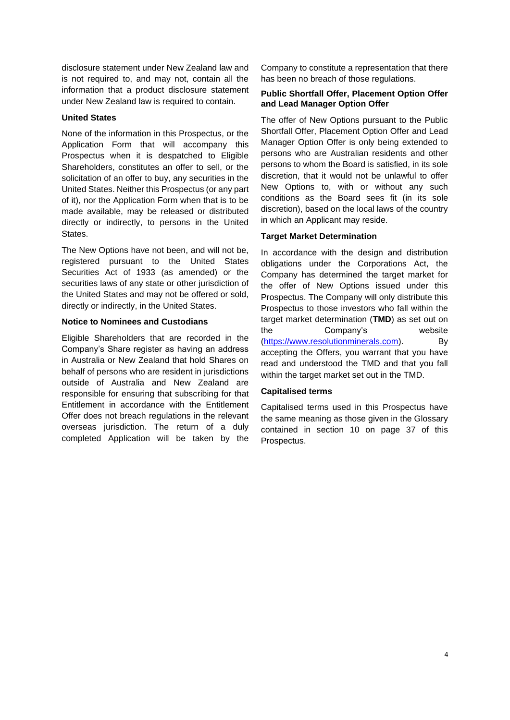disclosure statement under New Zealand law and is not required to, and may not, contain all the information that a product disclosure statement under New Zealand law is required to contain.

#### **United States**

None of the information in this Prospectus, or the Application Form that will accompany this Prospectus when it is despatched to Eligible Shareholders, constitutes an offer to sell, or the solicitation of an offer to buy, any securities in the United States. Neither this Prospectus (or any part of it), nor the Application Form when that is to be made available, may be released or distributed directly or indirectly, to persons in the United States.

The New Options have not been, and will not be, registered pursuant to the United States Securities Act of 1933 (as amended) or the securities laws of any state or other jurisdiction of the United States and may not be offered or sold, directly or indirectly, in the United States.

#### **Notice to Nominees and Custodians**

Eligible Shareholders that are recorded in the Company's Share register as having an address in Australia or New Zealand that hold Shares on behalf of persons who are resident in jurisdictions outside of Australia and New Zealand are responsible for ensuring that subscribing for that Entitlement in accordance with the Entitlement Offer does not breach regulations in the relevant overseas jurisdiction. The return of a duly completed Application will be taken by the

Company to constitute a representation that there has been no breach of those regulations.

#### **Public Shortfall Offer, Placement Option Offer and Lead Manager Option Offer**

The offer of New Options pursuant to the Public Shortfall Offer, Placement Option Offer and Lead Manager Option Offer is only being extended to persons who are Australian residents and other persons to whom the Board is satisfied, in its sole discretion, that it would not be unlawful to offer New Options to, with or without any such conditions as the Board sees fit (in its sole discretion), based on the local laws of the country in which an Applicant may reside.

## **Target Market Determination**

In accordance with the design and distribution obligations under the Corporations Act, the Company has determined the target market for the offer of New Options issued under this Prospectus. The Company will only distribute this Prospectus to those investors who fall within the target market determination (**TMD**) as set out on the Company's website [\(https://www.resolutionminerals.com\)](https://www.resolutionminerals.com/). By accepting the Offers, you warrant that you have read and understood the TMD and that you fall within the target market set out in the TMD.

## **Capitalised terms**

Capitalised terms used in this Prospectus have the same meaning as those given in the Glossary contained in section [10](#page-38-0) on page 37 of this Prospectus.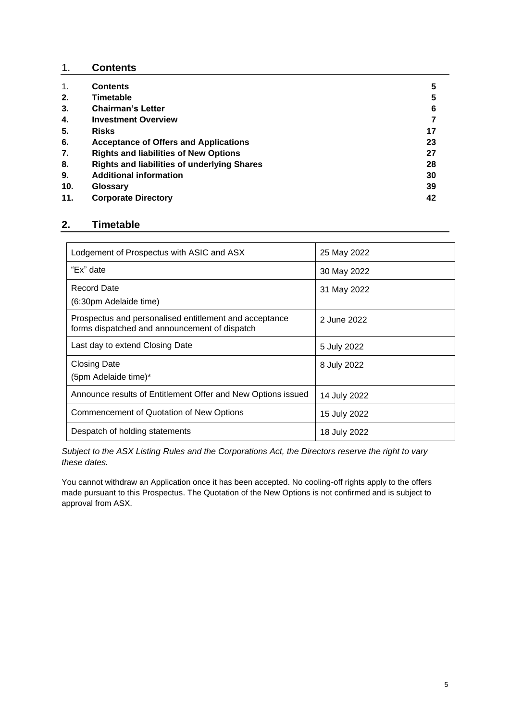## 1. **Contents**

| 1.  | <b>Contents</b>                                    | 5  |
|-----|----------------------------------------------------|----|
| 2.  | Timetable                                          | 5  |
| 3.  | <b>Chairman's Letter</b>                           | 6  |
| 4.  | <b>Investment Overview</b>                         |    |
| 5.  | <b>Risks</b>                                       | 17 |
| 6.  | <b>Acceptance of Offers and Applications</b>       | 23 |
| 7.  | <b>Rights and liabilities of New Options</b>       | 27 |
| 8.  | <b>Rights and liabilities of underlying Shares</b> | 28 |
| 9.  | <b>Additional information</b>                      | 30 |
| 10. | Glossary                                           | 39 |
| 11. | <b>Corporate Directory</b>                         | 42 |

# **2. Timetable**

| Lodgement of Prospectus with ASIC and ASX                                                               | 25 May 2022  |
|---------------------------------------------------------------------------------------------------------|--------------|
| "Ex" date                                                                                               | 30 May 2022  |
| Record Date<br>(6:30pm Adelaide time)                                                                   | 31 May 2022  |
| Prospectus and personalised entitlement and acceptance<br>forms dispatched and announcement of dispatch | 2 June 2022  |
| Last day to extend Closing Date                                                                         | 5 July 2022  |
| <b>Closing Date</b><br>(5pm Adelaide time)*                                                             | 8 July 2022  |
| Announce results of Entitlement Offer and New Options issued                                            | 14 July 2022 |
| Commencement of Quotation of New Options                                                                | 15 July 2022 |
| Despatch of holding statements                                                                          | 18 July 2022 |

*Subject to the ASX Listing Rules and the Corporations Act, the Directors reserve the right to vary these dates.*

You cannot withdraw an Application once it has been accepted. No cooling-off rights apply to the offers made pursuant to this Prospectus. The Quotation of the New Options is not confirmed and is subject to approval from ASX.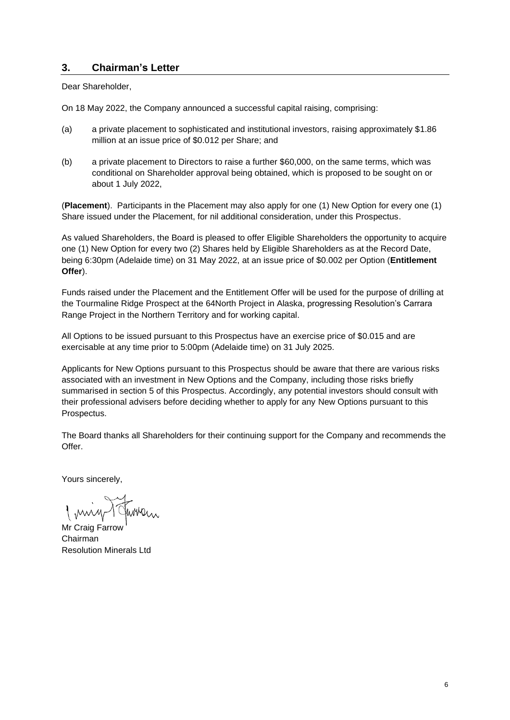## <span id="page-5-0"></span>**3. Chairman's Letter**

Dear Shareholder,

On 18 May 2022, the Company announced a successful capital raising, comprising:

- (a) a private placement to sophisticated and institutional investors, raising approximately \$1.86 million at an issue price of \$0.012 per Share; and
- (b) a private placement to Directors to raise a further \$60,000, on the same terms, which was conditional on Shareholder approval being obtained, which is proposed to be sought on or about 1 July 2022,

(**Placement**). Participants in the Placement may also apply for one (1) New Option for every one (1) Share issued under the Placement, for nil additional consideration, under this Prospectus.

As valued Shareholders, the Board is pleased to offer Eligible Shareholders the opportunity to acquire one (1) New Option for every two (2) Shares held by Eligible Shareholders as at the Record Date, being 6:30pm (Adelaide time) on 31 May 2022, at an issue price of \$0.002 per Option (**Entitlement Offer**).

Funds raised under the Placement and the Entitlement Offer will be used for the purpose of drilling at the Tourmaline Ridge Prospect at the 64North Project in Alaska, progressing Resolution's Carrara Range Project in the Northern Territory and for working capital.

All Options to be issued pursuant to this Prospectus have an exercise price of \$0.015 and are exercisable at any time prior to 5:00pm (Adelaide time) on 31 July 2025.

Applicants for New Options pursuant to this Prospectus should be aware that there are various risks associated with an investment in New Options and the Company, including those risks briefly summarised in section [5](#page-16-0) of this Prospectus. Accordingly, any potential investors should consult with their professional advisers before deciding whether to apply for any New Options pursuant to this Prospectus.

The Board thanks all Shareholders for their continuing support for the Company and recommends the Offer.

Yours sincerely,

Mr Craig Farrow Chairman Resolution Minerals Ltd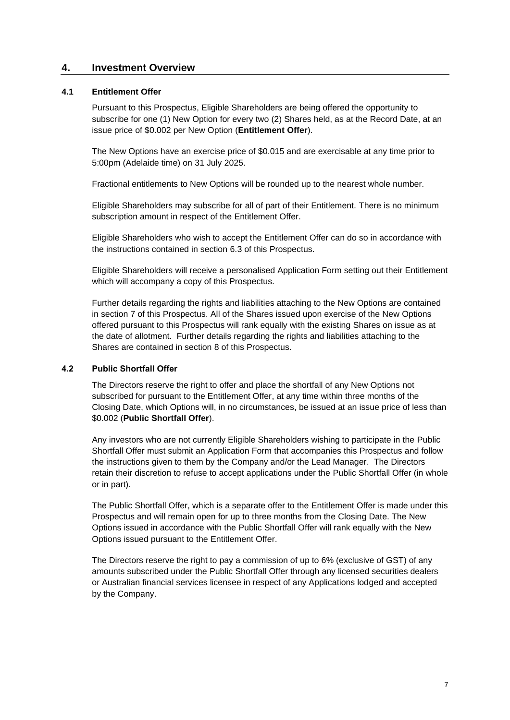## **4. Investment Overview**

## **4.1 Entitlement Offer**

Pursuant to this Prospectus, Eligible Shareholders are being offered the opportunity to subscribe for one (1) New Option for every two (2) Shares held, as at the Record Date, at an issue price of \$0.002 per New Option (**Entitlement Offer**).

The New Options have an exercise price of \$0.015 and are exercisable at any time prior to 5:00pm (Adelaide time) on 31 July 2025.

Fractional entitlements to New Options will be rounded up to the nearest whole number.

Eligible Shareholders may subscribe for all of part of their Entitlement. There is no minimum subscription amount in respect of the Entitlement Offer.

Eligible Shareholders who wish to accept the Entitlement Offer can do so in accordance with the instructions contained in section [6.3](#page-22-0) of this Prospectus.

Eligible Shareholders will receive a personalised Application Form setting out their Entitlement which will accompany a copy of this Prospectus.

Further details regarding the rights and liabilities attaching to the New Options are contained in section 7 of this Prospectus. All of the Shares issued upon exercise of the New Options offered pursuant to this Prospectus will rank equally with the existing Shares on issue as at the date of allotment. Further details regarding the rights and liabilities attaching to the Shares are contained in section [8](#page-27-0) of this Prospectus.

#### <span id="page-6-0"></span>**4.2 Public Shortfall Offer**

The Directors reserve the right to offer and place the shortfall of any New Options not subscribed for pursuant to the Entitlement Offer, at any time within three months of the Closing Date, which Options will, in no circumstances, be issued at an issue price of less than \$0.002 (**Public Shortfall Offer**).

Any investors who are not currently Eligible Shareholders wishing to participate in the Public Shortfall Offer must submit an Application Form that accompanies this Prospectus and follow the instructions given to them by the Company and/or the Lead Manager. The Directors retain their discretion to refuse to accept applications under the Public Shortfall Offer (in whole or in part).

The Public Shortfall Offer, which is a separate offer to the Entitlement Offer is made under this Prospectus and will remain open for up to three months from the Closing Date. The New Options issued in accordance with the Public Shortfall Offer will rank equally with the New Options issued pursuant to the Entitlement Offer.

The Directors reserve the right to pay a commission of up to 6% (exclusive of GST) of any amounts subscribed under the Public Shortfall Offer through any licensed securities dealers or Australian financial services licensee in respect of any Applications lodged and accepted by the Company.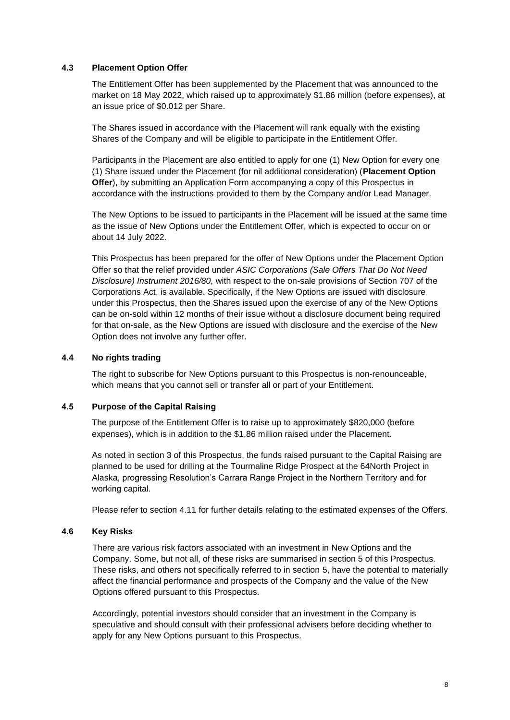#### **4.3 Placement Option Offer**

The Entitlement Offer has been supplemented by the Placement that was announced to the market on 18 May 2022, which raised up to approximately \$1.86 million (before expenses), at an issue price of \$0.012 per Share.

The Shares issued in accordance with the Placement will rank equally with the existing Shares of the Company and will be eligible to participate in the Entitlement Offer.

Participants in the Placement are also entitled to apply for one (1) New Option for every one (1) Share issued under the Placement (for nil additional consideration) (**Placement Option Offer**), by submitting an Application Form accompanying a copy of this Prospectus in accordance with the instructions provided to them by the Company and/or Lead Manager.

The New Options to be issued to participants in the Placement will be issued at the same time as the issue of New Options under the Entitlement Offer, which is expected to occur on or about 14 July 2022.

This Prospectus has been prepared for the offer of New Options under the Placement Option Offer so that the relief provided under *ASIC Corporations (Sale Offers That Do Not Need Disclosure) Instrument 2016/80,* with respect to the on-sale provisions of Section 707 of the Corporations Act, is available. Specifically, if the New Options are issued with disclosure under this Prospectus, then the Shares issued upon the exercise of any of the New Options can be on-sold within 12 months of their issue without a disclosure document being required for that on-sale, as the New Options are issued with disclosure and the exercise of the New Option does not involve any further offer.

#### **4.4 No rights trading**

The right to subscribe for New Options pursuant to this Prospectus is non-renounceable, which means that you cannot sell or transfer all or part of your Entitlement.

#### **4.5 Purpose of the Capital Raising**

The purpose of the Entitlement Offer is to raise up to approximately \$820,000 (before expenses), which is in addition to the \$1.86 million raised under the Placement.

As noted in section [3](#page-5-0) of this Prospectus, the funds raised pursuant to the Capital Raising are planned to be used for drilling at the Tourmaline Ridge Prospect at the 64North Project in Alaska, progressing Resolution's Carrara Range Project in the Northern Territory and for working capital.

Please refer to section [4.11](#page-10-0) for further details relating to the estimated expenses of the Offers.

## **4.6 Key Risks**

There are various risk factors associated with an investment in New Options and the Company. Some, but not all, of these risks are summarised in section [5](#page-16-0) of this Prospectus. These risks, and others not specifically referred to in section [5,](#page-16-0) have the potential to materially affect the financial performance and prospects of the Company and the value of the New Options offered pursuant to this Prospectus.

Accordingly, potential investors should consider that an investment in the Company is speculative and should consult with their professional advisers before deciding whether to apply for any New Options pursuant to this Prospectus.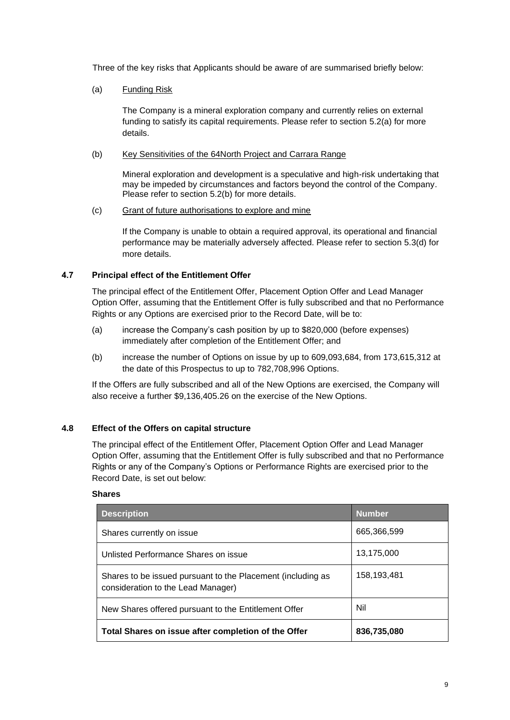Three of the key risks that Applicants should be aware of are summarised briefly below:

#### (a) Funding Risk

The Company is a mineral exploration company and currently relies on external funding to satisfy its capital requirements. Please refer to section [5.2\(a\)](#page-16-1) for more details.

#### (b) Key Sensitivities of the 64North Project and Carrara Range

Mineral exploration and development is a speculative and high-risk undertaking that may be impeded by circumstances and factors beyond the control of the Company. Please refer to section [5.2\(b\)](#page-16-2) for more details.

#### (c) Grant of future authorisations to explore and mine

If the Company is unable to obtain a required approval, its operational and financial performance may be materially adversely affected. Please refer to section [5.3\(d\)](#page-18-0) for more details.

## **4.7 Principal effect of the Entitlement Offer**

The principal effect of the Entitlement Offer, Placement Option Offer and Lead Manager Option Offer, assuming that the Entitlement Offer is fully subscribed and that no Performance Rights or any Options are exercised prior to the Record Date, will be to:

- (a) increase the Company's cash position by up to \$820,000 (before expenses) immediately after completion of the Entitlement Offer; and
- (b) increase the number of Options on issue by up to 609,093,684, from 173,615,312 at the date of this Prospectus to up to 782,708,996 Options.

If the Offers are fully subscribed and all of the New Options are exercised, the Company will also receive a further \$9,136,405.26 on the exercise of the New Options.

## **4.8 Effect of the Offers on capital structure**

The principal effect of the Entitlement Offer, Placement Option Offer and Lead Manager Option Offer, assuming that the Entitlement Offer is fully subscribed and that no Performance Rights or any of the Company's Options or Performance Rights are exercised prior to the Record Date, is set out below:

## **Shares**

| <b>Description</b>                                                                                | <b>Number</b> |
|---------------------------------------------------------------------------------------------------|---------------|
| Shares currently on issue                                                                         | 665,366,599   |
| Unlisted Performance Shares on issue                                                              | 13,175,000    |
| Shares to be issued pursuant to the Placement (including as<br>consideration to the Lead Manager) | 158,193,481   |
| New Shares offered pursuant to the Entitlement Offer                                              | Nil           |
| Total Shares on issue after completion of the Offer                                               | 836,735,080   |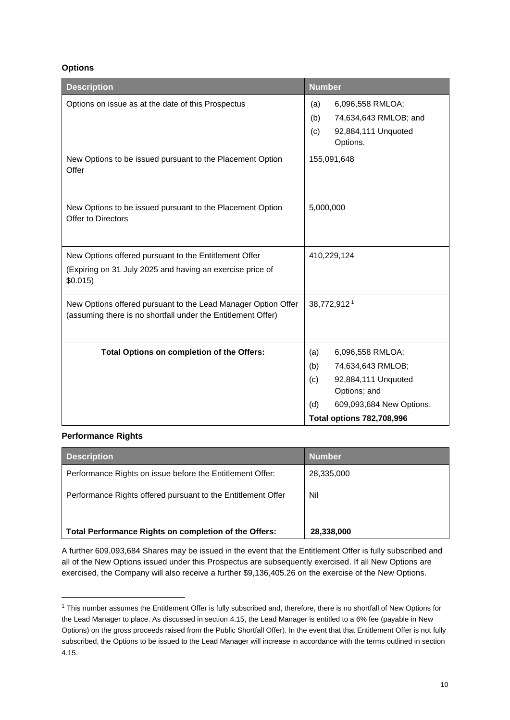## **Options**

| <b>Description</b>                                                                                                             | <b>Number</b>                                                                                                                                                            |  |
|--------------------------------------------------------------------------------------------------------------------------------|--------------------------------------------------------------------------------------------------------------------------------------------------------------------------|--|
| Options on issue as at the date of this Prospectus                                                                             | 6,096,558 RMLOA;<br>(a)<br>74,634,643 RMLOB; and<br>(b)<br>92,884,111 Unquoted<br>(c)<br>Options.                                                                        |  |
| New Options to be issued pursuant to the Placement Option<br>Offer                                                             | 155,091,648                                                                                                                                                              |  |
| New Options to be issued pursuant to the Placement Option<br>Offer to Directors                                                | 5,000,000                                                                                                                                                                |  |
| New Options offered pursuant to the Entitlement Offer<br>(Expiring on 31 July 2025 and having an exercise price of<br>\$0.015) | 410,229,124                                                                                                                                                              |  |
| New Options offered pursuant to the Lead Manager Option Offer<br>(assuming there is no shortfall under the Entitlement Offer)  | 38,772,912 <sup>1</sup>                                                                                                                                                  |  |
| Total Options on completion of the Offers:                                                                                     | (a)<br>6,096,558 RMLOA;<br>74,634,643 RMLOB;<br>(b)<br>92,884,111 Unquoted<br>(c)<br>Options; and<br>609,093,684 New Options.<br>(d)<br><b>Total options 782,708,996</b> |  |

## **Performance Rights**

| <b>Description</b>                                           | <b>Number</b> |
|--------------------------------------------------------------|---------------|
| Performance Rights on issue before the Entitlement Offer:    | 28,335,000    |
| Performance Rights offered pursuant to the Entitlement Offer | Nil           |
| Total Performance Rights on completion of the Offers:        | 28,338,000    |

A further 609,093,684 Shares may be issued in the event that the Entitlement Offer is fully subscribed and all of the New Options issued under this Prospectus are subsequently exercised. If all New Options are exercised, the Company will also receive a further \$9,136,405.26 on the exercise of the New Options.

<sup>&</sup>lt;sup>1</sup> This number assumes the Entitlement Offer is fully subscribed and, therefore, there is no shortfall of New Options for the Lead Manager to place. As discussed in sectio[n 4.15,](#page-14-0) the Lead Manager is entitled to a 6% fee (payable in New Options) on the gross proceeds raised from the Public Shortfall Offer). In the event that that Entitlement Offer is not fully subscribed, the Options to be issued to the Lead Manager will increase in accordance with the terms outlined in section [4.15.](#page-14-0)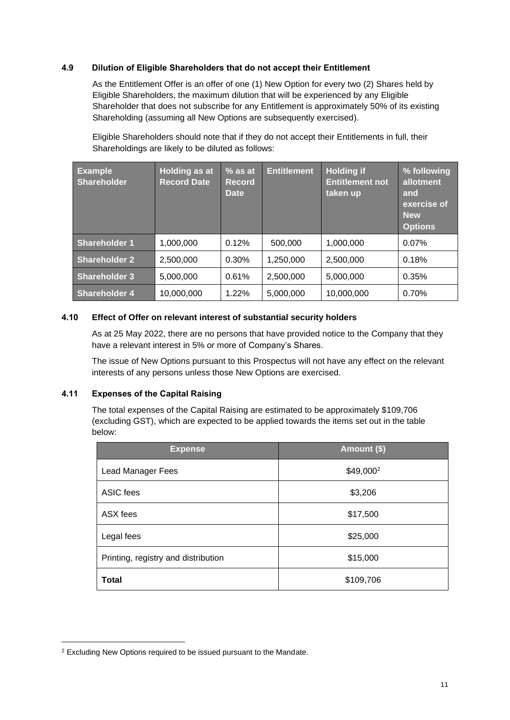## **4.9 Dilution of Eligible Shareholders that do not accept their Entitlement**

As the Entitlement Offer is an offer of one (1) New Option for every two (2) Shares held by Eligible Shareholders, the maximum dilution that will be experienced by any Eligible Shareholder that does not subscribe for any Entitlement is approximately 50% of its existing Shareholding (assuming all New Options are subsequently exercised).

Eligible Shareholders should note that if they do not accept their Entitlements in full, their Shareholdings are likely to be diluted as follows:

| <b>Example</b><br><b>Shareholder</b> | <b>Holding as at</b><br><b>Record Date</b> | $\%$ as at<br><b>Record</b><br><b>Date</b> | <b>Entitlement</b> | <b>Holding if</b><br><b>Entitlement not</b><br>taken up | % following<br>allotment<br>and<br>exercise of<br><b>New</b><br><b>Options</b> |
|--------------------------------------|--------------------------------------------|--------------------------------------------|--------------------|---------------------------------------------------------|--------------------------------------------------------------------------------|
| <b>Shareholder 1</b>                 | 1,000,000                                  | 0.12%                                      | 500,000            | 1,000,000                                               | 0.07%                                                                          |
| <b>Shareholder 2</b>                 | 2,500,000                                  | 0.30%                                      | 1,250,000          | 2,500,000                                               | 0.18%                                                                          |
| <b>Shareholder 3</b>                 | 5,000,000                                  | 0.61%                                      | 2.500.000          | 5,000,000                                               | 0.35%                                                                          |
| <b>Shareholder 4</b>                 | 10,000,000                                 | 1.22%                                      | 5,000,000          | 10,000,000                                              | 0.70%                                                                          |

## **4.10 Effect of Offer on relevant interest of substantial security holders**

As at 25 May 2022, there are no persons that have provided notice to the Company that they have a relevant interest in 5% or more of Company's Shares.

The issue of New Options pursuant to this Prospectus will not have any effect on the relevant interests of any persons unless those New Options are exercised.

## <span id="page-10-0"></span>**4.11 Expenses of the Capital Raising**

The total expenses of the Capital Raising are estimated to be approximately \$109,706 (excluding GST), which are expected to be applied towards the items set out in the table below:

| <b>Expense</b>                      | <b>Amount (\$)</b>    |
|-------------------------------------|-----------------------|
| Lead Manager Fees                   | \$49,000 <sup>2</sup> |
| <b>ASIC</b> fees                    | \$3,206               |
| ASX fees                            | \$17,500              |
| Legal fees                          | \$25,000              |
| Printing, registry and distribution | \$15,000              |
| <b>Total</b>                        | \$109,706             |

<sup>&</sup>lt;sup>2</sup> Excluding New Options required to be issued pursuant to the Mandate.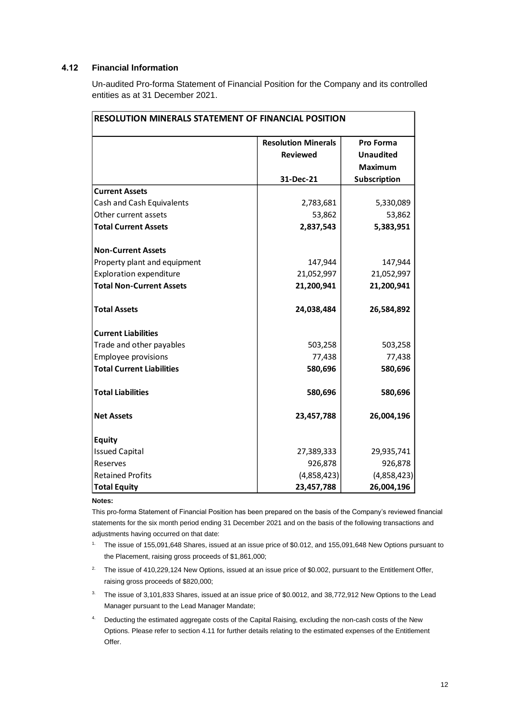## **4.12 Financial Information**

Un-audited Pro-forma Statement of Financial Position for the Company and its controlled entities as at 31 December 2021.

|                                  | <b>Resolution Minerals</b> | Pro Forma        |
|----------------------------------|----------------------------|------------------|
|                                  | <b>Reviewed</b>            | <b>Unaudited</b> |
|                                  |                            | <b>Maximum</b>   |
|                                  | 31-Dec-21                  | Subscription     |
| <b>Current Assets</b>            |                            |                  |
| Cash and Cash Equivalents        | 2,783,681                  | 5,330,089        |
| Other current assets             | 53,862                     | 53,862           |
| <b>Total Current Assets</b>      | 2,837,543                  | 5,383,951        |
| <b>Non-Current Assets</b>        |                            |                  |
| Property plant and equipment     | 147,944                    | 147,944          |
| <b>Exploration expenditure</b>   | 21,052,997                 | 21,052,997       |
| <b>Total Non-Current Assets</b>  | 21,200,941                 | 21,200,941       |
| <b>Total Assets</b>              | 24,038,484                 | 26,584,892       |
| <b>Current Liabilities</b>       |                            |                  |
| Trade and other payables         | 503,258                    | 503,258          |
| <b>Employee provisions</b>       | 77,438                     | 77,438           |
| <b>Total Current Liabilities</b> | 580,696                    | 580,696          |
| <b>Total Liabilities</b>         | 580,696                    | 580,696          |
| <b>Net Assets</b>                | 23,457,788                 | 26,004,196       |
| <b>Equity</b>                    |                            |                  |
| <b>Issued Capital</b>            | 27,389,333                 | 29,935,741       |
| Reserves                         | 926,878                    | 926,878          |
| <b>Retained Profits</b>          | (4,858,423)                | (4,858,423)      |
| <b>Total Equity</b>              | 23,457,788                 | 26,004,196       |

# **RESOLUTION MINERALS STATEMENT OF FINANCIAL POSITION**

#### **Notes:**

This pro-forma Statement of Financial Position has been prepared on the basis of the Company's reviewed financial statements for the six month period ending 31 December 2021 and on the basis of the following transactions and adjustments having occurred on that date:

- 1. The issue of 155,091,648 Shares, issued at an issue price of \$0.012, and 155,091,648 New Options pursuant to the Placement, raising gross proceeds of \$1,861,000;
- <sup>2.</sup> The issue of 410,229,124 New Options, issued at an issue price of \$0.002, pursuant to the Entitlement Offer, raising gross proceeds of \$820,000;
- <sup>3.</sup> The issue of 3,101,833 Shares, issued at an issue price of \$0.0012, and 38,772,912 New Options to the Lead Manager pursuant to the Lead Manager Mandate;
- 4. Deducting the estimated aggregate costs of the Capital Raising, excluding the non-cash costs of the New Options. Please refer to sectio[n 4.11](#page-10-0) for further details relating to the estimated expenses of the Entitlement Offer.

٦Ì,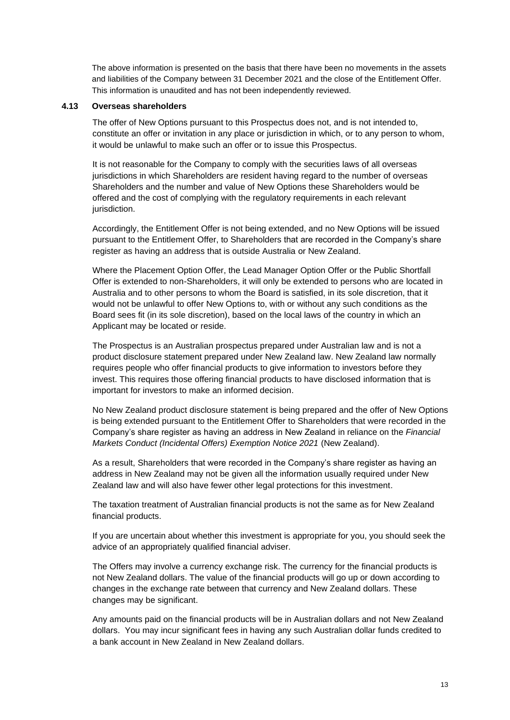The above information is presented on the basis that there have been no movements in the assets and liabilities of the Company between 31 December 2021 and the close of the Entitlement Offer. This information is unaudited and has not been independently reviewed.

#### **4.13 Overseas shareholders**

The offer of New Options pursuant to this Prospectus does not, and is not intended to, constitute an offer or invitation in any place or jurisdiction in which, or to any person to whom, it would be unlawful to make such an offer or to issue this Prospectus.

It is not reasonable for the Company to comply with the securities laws of all overseas jurisdictions in which Shareholders are resident having regard to the number of overseas Shareholders and the number and value of New Options these Shareholders would be offered and the cost of complying with the regulatory requirements in each relevant jurisdiction.

Accordingly, the Entitlement Offer is not being extended, and no New Options will be issued pursuant to the Entitlement Offer, to Shareholders that are recorded in the Company's share register as having an address that is outside Australia or New Zealand.

Where the Placement Option Offer, the Lead Manager Option Offer or the Public Shortfall Offer is extended to non-Shareholders, it will only be extended to persons who are located in Australia and to other persons to whom the Board is satisfied, in its sole discretion, that it would not be unlawful to offer New Options to, with or without any such conditions as the Board sees fit (in its sole discretion), based on the local laws of the country in which an Applicant may be located or reside.

The Prospectus is an Australian prospectus prepared under Australian law and is not a product disclosure statement prepared under New Zealand law. New Zealand law normally requires people who offer financial products to give information to investors before they invest. This requires those offering financial products to have disclosed information that is important for investors to make an informed decision.

No New Zealand product disclosure statement is being prepared and the offer of New Options is being extended pursuant to the Entitlement Offer to Shareholders that were recorded in the Company's share register as having an address in New Zealand in reliance on the *Financial Markets Conduct (Incidental Offers) Exemption Notice 2021* (New Zealand).

As a result, Shareholders that were recorded in the Company's share register as having an address in New Zealand may not be given all the information usually required under New Zealand law and will also have fewer other legal protections for this investment.

The taxation treatment of Australian financial products is not the same as for New Zealand financial products.

If you are uncertain about whether this investment is appropriate for you, you should seek the advice of an appropriately qualified financial adviser.

The Offers may involve a currency exchange risk. The currency for the financial products is not New Zealand dollars. The value of the financial products will go up or down according to changes in the exchange rate between that currency and New Zealand dollars. These changes may be significant.

Any amounts paid on the financial products will be in Australian dollars and not New Zealand dollars. You may incur significant fees in having any such Australian dollar funds credited to a bank account in New Zealand in New Zealand dollars.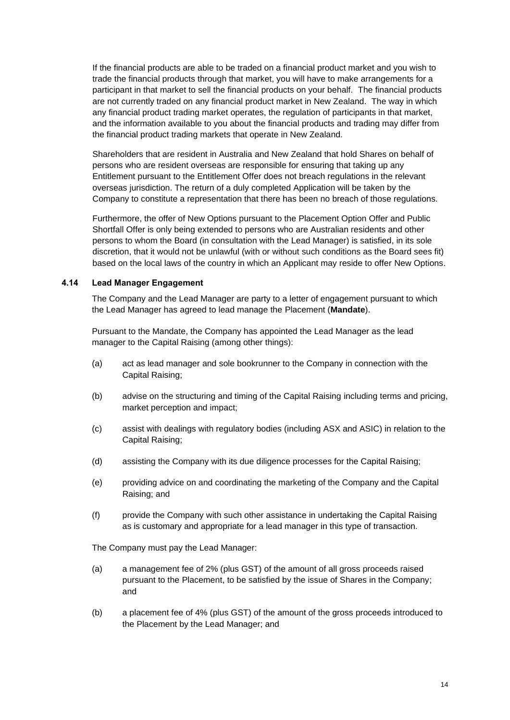If the financial products are able to be traded on a financial product market and you wish to trade the financial products through that market, you will have to make arrangements for a participant in that market to sell the financial products on your behalf. The financial products are not currently traded on any financial product market in New Zealand. The way in which any financial product trading market operates, the regulation of participants in that market, and the information available to you about the financial products and trading may differ from the financial product trading markets that operate in New Zealand.

Shareholders that are resident in Australia and New Zealand that hold Shares on behalf of persons who are resident overseas are responsible for ensuring that taking up any Entitlement pursuant to the Entitlement Offer does not breach regulations in the relevant overseas jurisdiction. The return of a duly completed Application will be taken by the Company to constitute a representation that there has been no breach of those regulations.

Furthermore, the offer of New Options pursuant to the Placement Option Offer and Public Shortfall Offer is only being extended to persons who are Australian residents and other persons to whom the Board (in consultation with the Lead Manager) is satisfied, in its sole discretion, that it would not be unlawful (with or without such conditions as the Board sees fit) based on the local laws of the country in which an Applicant may reside to offer New Options.

#### <span id="page-13-0"></span>**4.14 Lead Manager Engagement**

The Company and the Lead Manager are party to a letter of engagement pursuant to which the Lead Manager has agreed to lead manage the Placement (**Mandate**).

Pursuant to the Mandate, the Company has appointed the Lead Manager as the lead manager to the Capital Raising (among other things):

- (a) act as lead manager and sole bookrunner to the Company in connection with the Capital Raising;
- (b) advise on the structuring and timing of the Capital Raising including terms and pricing, market perception and impact;
- (c) assist with dealings with regulatory bodies (including ASX and ASIC) in relation to the Capital Raising;
- (d) assisting the Company with its due diligence processes for the Capital Raising;
- (e) providing advice on and coordinating the marketing of the Company and the Capital Raising; and
- (f) provide the Company with such other assistance in undertaking the Capital Raising as is customary and appropriate for a lead manager in this type of transaction.

The Company must pay the Lead Manager:

- (a) a management fee of 2% (plus GST) of the amount of all gross proceeds raised pursuant to the Placement, to be satisfied by the issue of Shares in the Company; and
- (b) a placement fee of 4% (plus GST) of the amount of the gross proceeds introduced to the Placement by the Lead Manager; and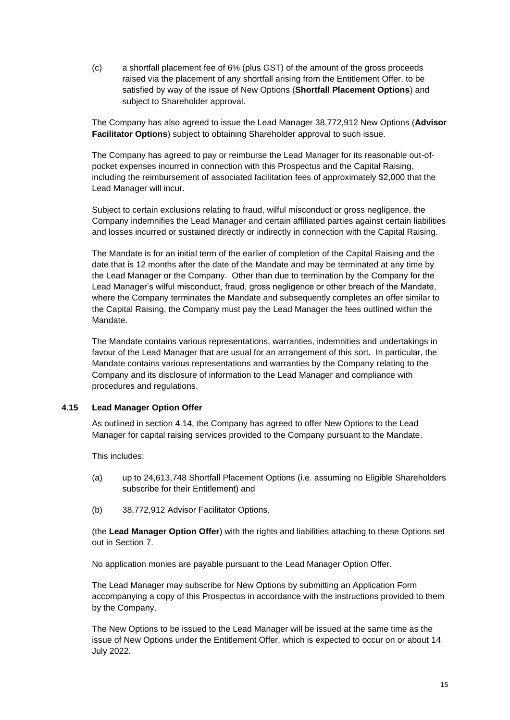(c) a shortfall placement fee of 6% (plus GST) of the amount of the gross proceeds raised via the placement of any shortfall arising from the Entitlement Offer, to be satisfied by way of the issue of New Options (**Shortfall Placement Options**) and subject to Shareholder approval.

The Company has also agreed to issue the Lead Manager 38,772,912 New Options (**Advisor Facilitator Options**) subject to obtaining Shareholder approval to such issue.

The Company has agreed to pay or reimburse the Lead Manager for its reasonable out-ofpocket expenses incurred in connection with this Prospectus and the Capital Raising, including the reimbursement of associated facilitation fees of approximately \$2,000 that the Lead Manager will incur.

Subject to certain exclusions relating to fraud, wilful misconduct or gross negligence, the Company indemnifies the Lead Manager and certain affiliated parties against certain liabilities and losses incurred or sustained directly or indirectly in connection with the Capital Raising.

The Mandate is for an initial term of the earlier of completion of the Capital Raising and the date that is 12 months after the date of the Mandate and may be terminated at any time by the Lead Manager or the Company. Other than due to termination by the Company for the Lead Manager's wilful misconduct, fraud, gross negligence or other breach of the Mandate, where the Company terminates the Mandate and subsequently completes an offer similar to the Capital Raising, the Company must pay the Lead Manager the fees outlined within the Mandate.

The Mandate contains various representations, warranties, indemnities and undertakings in favour of the Lead Manager that are usual for an arrangement of this sort. In particular, the Mandate contains various representations and warranties by the Company relating to the Company and its disclosure of information to the Lead Manager and compliance with procedures and regulations.

## <span id="page-14-0"></span>**4.15 Lead Manager Option Offer**

As outlined in section [4.14,](#page-13-0) the Company has agreed to offer New Options to the Lead Manager for capital raising services provided to the Company pursuant to the Mandate.

This includes:

- (a) up to 24,613,748 Shortfall Placement Options (i.e. assuming no Eligible Shareholders subscribe for their Entitlement) and
- (b) 38,772,912 Advisor Facilitator Options,

(the **Lead Manager Option Offer**) with the rights and liabilities attaching to these Options set out in Section [7.](#page-26-0)

No application monies are payable pursuant to the Lead Manager Option Offer.

The Lead Manager may subscribe for New Options by submitting an Application Form accompanying a copy of this Prospectus in accordance with the instructions provided to them by the Company.

The New Options to be issued to the Lead Manager will be issued at the same time as the issue of New Options under the Entitlement Offer, which is expected to occur on or about 14 July 2022.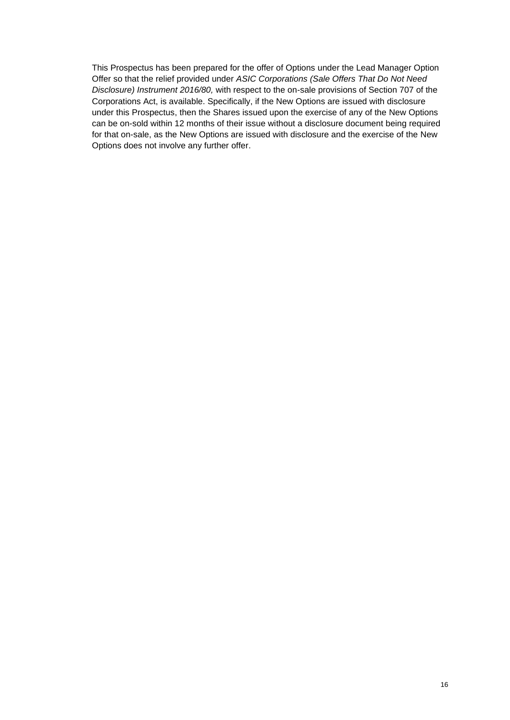This Prospectus has been prepared for the offer of Options under the Lead Manager Option Offer so that the relief provided under *ASIC Corporations (Sale Offers That Do Not Need Disclosure) Instrument 2016/80,* with respect to the on-sale provisions of Section 707 of the Corporations Act, is available. Specifically, if the New Options are issued with disclosure under this Prospectus, then the Shares issued upon the exercise of any of the New Options can be on-sold within 12 months of their issue without a disclosure document being required for that on-sale, as the New Options are issued with disclosure and the exercise of the New Options does not involve any further offer.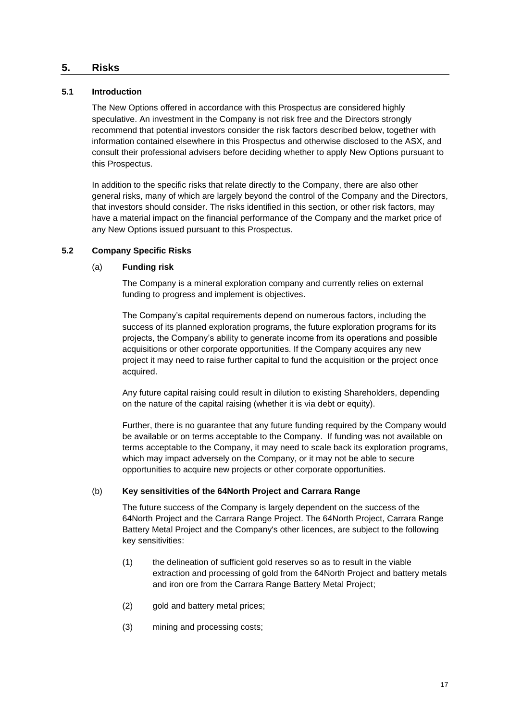## <span id="page-16-0"></span>**5. Risks**

## **5.1 Introduction**

The New Options offered in accordance with this Prospectus are considered highly speculative. An investment in the Company is not risk free and the Directors strongly recommend that potential investors consider the risk factors described below, together with information contained elsewhere in this Prospectus and otherwise disclosed to the ASX, and consult their professional advisers before deciding whether to apply New Options pursuant to this Prospectus.

In addition to the specific risks that relate directly to the Company, there are also other general risks, many of which are largely beyond the control of the Company and the Directors, that investors should consider. The risks identified in this section, or other risk factors, may have a material impact on the financial performance of the Company and the market price of any New Options issued pursuant to this Prospectus.

## <span id="page-16-1"></span>**5.2 Company Specific Risks**

## (a) **Funding risk**

The Company is a mineral exploration company and currently relies on external funding to progress and implement is objectives.

The Company's capital requirements depend on numerous factors, including the success of its planned exploration programs, the future exploration programs for its projects, the Company's ability to generate income from its operations and possible acquisitions or other corporate opportunities. If the Company acquires any new project it may need to raise further capital to fund the acquisition or the project once acquired.

Any future capital raising could result in dilution to existing Shareholders, depending on the nature of the capital raising (whether it is via debt or equity).

Further, there is no guarantee that any future funding required by the Company would be available or on terms acceptable to the Company. If funding was not available on terms acceptable to the Company, it may need to scale back its exploration programs, which may impact adversely on the Company, or it may not be able to secure opportunities to acquire new projects or other corporate opportunities.

## <span id="page-16-2"></span>(b) **Key sensitivities of the 64North Project and Carrara Range**

The future success of the Company is largely dependent on the success of the 64North Project and the Carrara Range Project. The 64North Project, Carrara Range Battery Metal Project and the Company's other licences, are subject to the following key sensitivities:

- (1) the delineation of sufficient gold reserves so as to result in the viable extraction and processing of gold from the 64North Project and battery metals and iron ore from the Carrara Range Battery Metal Project;
- (2) gold and battery metal prices;
- (3) mining and processing costs;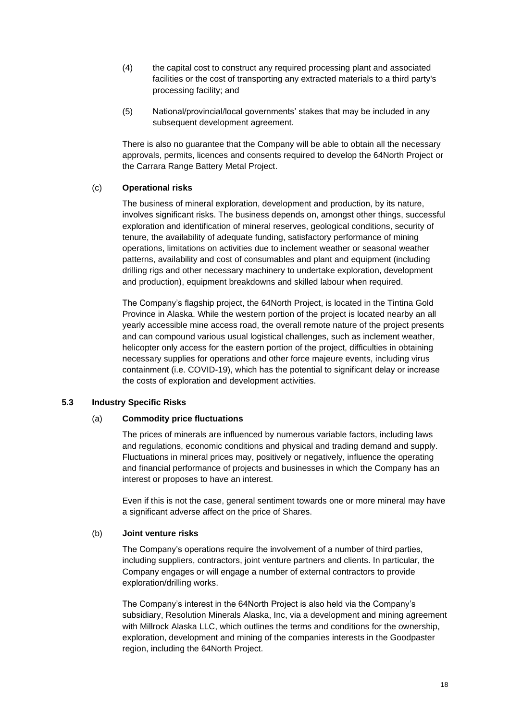- (4) the capital cost to construct any required processing plant and associated facilities or the cost of transporting any extracted materials to a third party's processing facility; and
- (5) National/provincial/local governments' stakes that may be included in any subsequent development agreement.

There is also no guarantee that the Company will be able to obtain all the necessary approvals, permits, licences and consents required to develop the 64North Project or the Carrara Range Battery Metal Project.

## (c) **Operational risks**

The business of mineral exploration, development and production, by its nature, involves significant risks. The business depends on, amongst other things, successful exploration and identification of mineral reserves, geological conditions, security of tenure, the availability of adequate funding, satisfactory performance of mining operations, limitations on activities due to inclement weather or seasonal weather patterns, availability and cost of consumables and plant and equipment (including drilling rigs and other necessary machinery to undertake exploration, development and production), equipment breakdowns and skilled labour when required.

The Company's flagship project, the 64North Project, is located in the Tintina Gold Province in Alaska. While the western portion of the project is located nearby an all yearly accessible mine access road, the overall remote nature of the project presents and can compound various usual logistical challenges, such as inclement weather, helicopter only access for the eastern portion of the project, difficulties in obtaining necessary supplies for operations and other force majeure events, including virus containment (i.e. COVID-19), which has the potential to significant delay or increase the costs of exploration and development activities.

## **5.3 Industry Specific Risks**

## (a) **Commodity price fluctuations**

The prices of minerals are influenced by numerous variable factors, including laws and regulations, economic conditions and physical and trading demand and supply. Fluctuations in mineral prices may, positively or negatively, influence the operating and financial performance of projects and businesses in which the Company has an interest or proposes to have an interest.

Even if this is not the case, general sentiment towards one or more mineral may have a significant adverse affect on the price of Shares.

## (b) **Joint venture risks**

The Company's operations require the involvement of a number of third parties, including suppliers, contractors, joint venture partners and clients. In particular, the Company engages or will engage a number of external contractors to provide exploration/drilling works.

The Company's interest in the 64North Project is also held via the Company's subsidiary, Resolution Minerals Alaska, Inc, via a development and mining agreement with Millrock Alaska LLC, which outlines the terms and conditions for the ownership, exploration, development and mining of the companies interests in the Goodpaster region, including the 64North Project.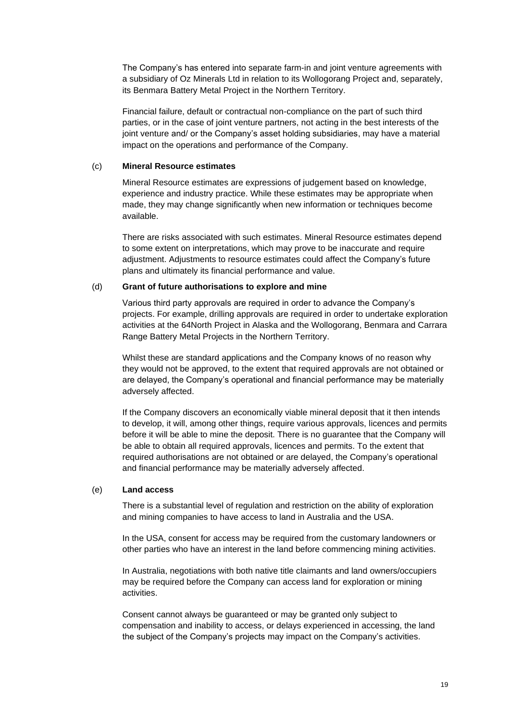The Company's has entered into separate farm-in and joint venture agreements with a subsidiary of Oz Minerals Ltd in relation to its Wollogorang Project and, separately, its Benmara Battery Metal Project in the Northern Territory.

Financial failure, default or contractual non-compliance on the part of such third parties, or in the case of joint venture partners, not acting in the best interests of the joint venture and/ or the Company's asset holding subsidiaries, may have a material impact on the operations and performance of the Company.

#### (c) **Mineral Resource estimates**

Mineral Resource estimates are expressions of judgement based on knowledge, experience and industry practice. While these estimates may be appropriate when made, they may change significantly when new information or techniques become available.

There are risks associated with such estimates. Mineral Resource estimates depend to some extent on interpretations, which may prove to be inaccurate and require adjustment. Adjustments to resource estimates could affect the Company's future plans and ultimately its financial performance and value.

## <span id="page-18-0"></span>(d) **Grant of future authorisations to explore and mine**

Various third party approvals are required in order to advance the Company's projects. For example, drilling approvals are required in order to undertake exploration activities at the 64North Project in Alaska and the Wollogorang, Benmara and Carrara Range Battery Metal Projects in the Northern Territory.

Whilst these are standard applications and the Company knows of no reason why they would not be approved, to the extent that required approvals are not obtained or are delayed, the Company's operational and financial performance may be materially adversely affected.

If the Company discovers an economically viable mineral deposit that it then intends to develop, it will, among other things, require various approvals, licences and permits before it will be able to mine the deposit. There is no guarantee that the Company will be able to obtain all required approvals, licences and permits. To the extent that required authorisations are not obtained or are delayed, the Company's operational and financial performance may be materially adversely affected.

#### (e) **Land access**

There is a substantial level of regulation and restriction on the ability of exploration and mining companies to have access to land in Australia and the USA.

In the USA, consent for access may be required from the customary landowners or other parties who have an interest in the land before commencing mining activities.

In Australia, negotiations with both native title claimants and land owners/occupiers may be required before the Company can access land for exploration or mining activities.

Consent cannot always be guaranteed or may be granted only subject to compensation and inability to access, or delays experienced in accessing, the land the subject of the Company's projects may impact on the Company's activities.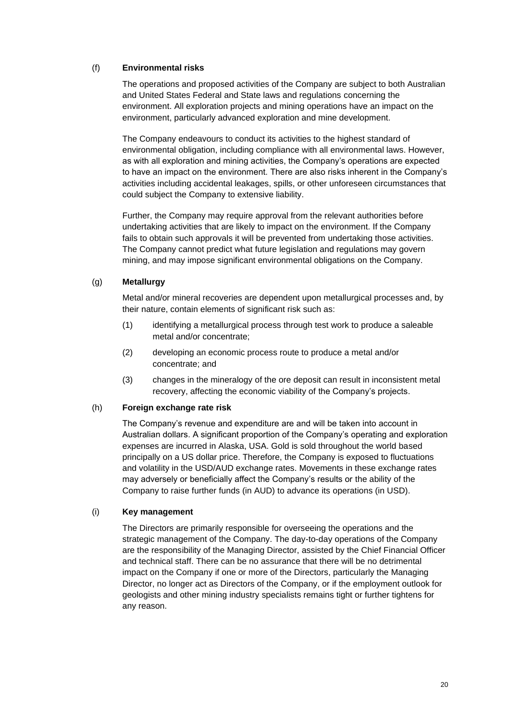## (f) **Environmental risks**

The operations and proposed activities of the Company are subject to both Australian and United States Federal and State laws and regulations concerning the environment. All exploration projects and mining operations have an impact on the environment, particularly advanced exploration and mine development.

The Company endeavours to conduct its activities to the highest standard of environmental obligation, including compliance with all environmental laws. However, as with all exploration and mining activities, the Company's operations are expected to have an impact on the environment. There are also risks inherent in the Company's activities including accidental leakages, spills, or other unforeseen circumstances that could subject the Company to extensive liability.

Further, the Company may require approval from the relevant authorities before undertaking activities that are likely to impact on the environment. If the Company fails to obtain such approvals it will be prevented from undertaking those activities. The Company cannot predict what future legislation and regulations may govern mining, and may impose significant environmental obligations on the Company.

## (g) **Metallurgy**

Metal and/or mineral recoveries are dependent upon metallurgical processes and, by their nature, contain elements of significant risk such as:

- (1) identifying a metallurgical process through test work to produce a saleable metal and/or concentrate;
- (2) developing an economic process route to produce a metal and/or concentrate; and
- (3) changes in the mineralogy of the ore deposit can result in inconsistent metal recovery, affecting the economic viability of the Company's projects.

## (h) **Foreign exchange rate risk**

The Company's revenue and expenditure are and will be taken into account in Australian dollars. A significant proportion of the Company's operating and exploration expenses are incurred in Alaska, USA. Gold is sold throughout the world based principally on a US dollar price. Therefore, the Company is exposed to fluctuations and volatility in the USD/AUD exchange rates. Movements in these exchange rates may adversely or beneficially affect the Company's results or the ability of the Company to raise further funds (in AUD) to advance its operations (in USD).

## (i) **Key management**

The Directors are primarily responsible for overseeing the operations and the strategic management of the Company. The day-to-day operations of the Company are the responsibility of the Managing Director, assisted by the Chief Financial Officer and technical staff. There can be no assurance that there will be no detrimental impact on the Company if one or more of the Directors, particularly the Managing Director, no longer act as Directors of the Company, or if the employment outlook for geologists and other mining industry specialists remains tight or further tightens for any reason.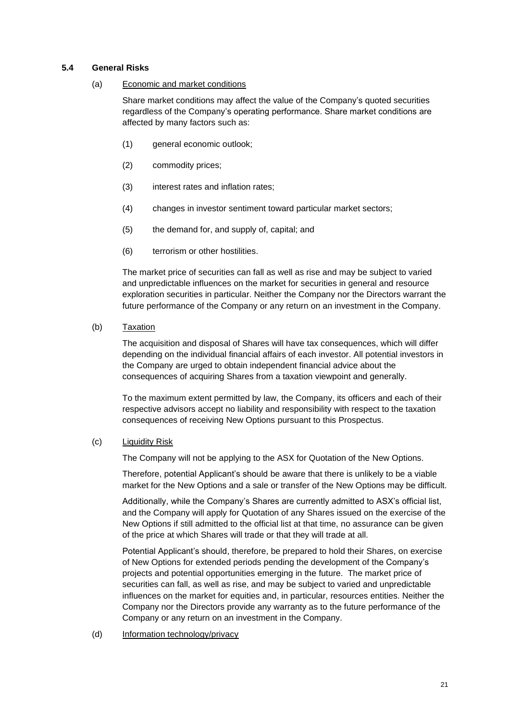## **5.4 General Risks**

#### (a) Economic and market conditions

Share market conditions may affect the value of the Company's quoted securities regardless of the Company's operating performance. Share market conditions are affected by many factors such as:

- (1) general economic outlook;
- (2) commodity prices;
- (3) interest rates and inflation rates;
- (4) changes in investor sentiment toward particular market sectors;
- (5) the demand for, and supply of, capital; and
- (6) terrorism or other hostilities.

The market price of securities can fall as well as rise and may be subject to varied and unpredictable influences on the market for securities in general and resource exploration securities in particular. Neither the Company nor the Directors warrant the future performance of the Company or any return on an investment in the Company.

(b) Taxation

The acquisition and disposal of Shares will have tax consequences, which will differ depending on the individual financial affairs of each investor. All potential investors in the Company are urged to obtain independent financial advice about the consequences of acquiring Shares from a taxation viewpoint and generally.

To the maximum extent permitted by law, the Company, its officers and each of their respective advisors accept no liability and responsibility with respect to the taxation consequences of receiving New Options pursuant to this Prospectus.

#### (c) Liquidity Risk

The Company will not be applying to the ASX for Quotation of the New Options.

Therefore, potential Applicant's should be aware that there is unlikely to be a viable market for the New Options and a sale or transfer of the New Options may be difficult.

Additionally, while the Company's Shares are currently admitted to ASX's official list, and the Company will apply for Quotation of any Shares issued on the exercise of the New Options if still admitted to the official list at that time, no assurance can be given of the price at which Shares will trade or that they will trade at all.

Potential Applicant's should, therefore, be prepared to hold their Shares, on exercise of New Options for extended periods pending the development of the Company's projects and potential opportunities emerging in the future. The market price of securities can fall, as well as rise, and may be subject to varied and unpredictable influences on the market for equities and, in particular, resources entities. Neither the Company nor the Directors provide any warranty as to the future performance of the Company or any return on an investment in the Company.

(d) Information technology/privacy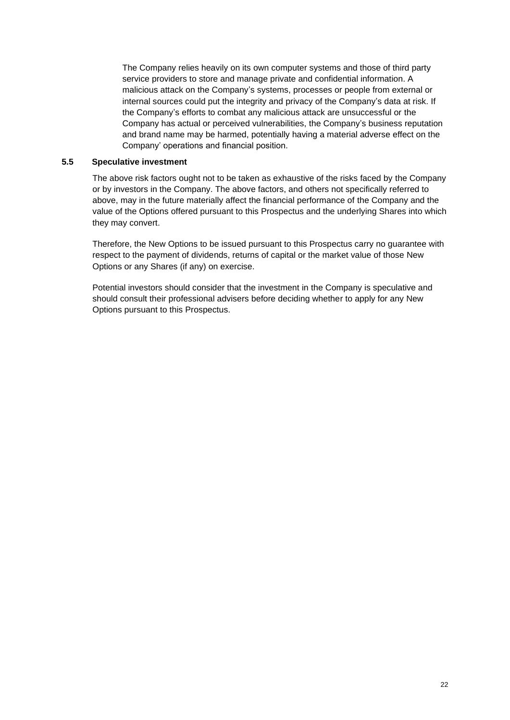The Company relies heavily on its own computer systems and those of third party service providers to store and manage private and confidential information. A malicious attack on the Company's systems, processes or people from external or internal sources could put the integrity and privacy of the Company's data at risk. If the Company's efforts to combat any malicious attack are unsuccessful or the Company has actual or perceived vulnerabilities, the Company's business reputation and brand name may be harmed, potentially having a material adverse effect on the Company' operations and financial position.

#### **5.5 Speculative investment**

The above risk factors ought not to be taken as exhaustive of the risks faced by the Company or by investors in the Company. The above factors, and others not specifically referred to above, may in the future materially affect the financial performance of the Company and the value of the Options offered pursuant to this Prospectus and the underlying Shares into which they may convert.

Therefore, the New Options to be issued pursuant to this Prospectus carry no guarantee with respect to the payment of dividends, returns of capital or the market value of those New Options or any Shares (if any) on exercise.

Potential investors should consider that the investment in the Company is speculative and should consult their professional advisers before deciding whether to apply for any New Options pursuant to this Prospectus.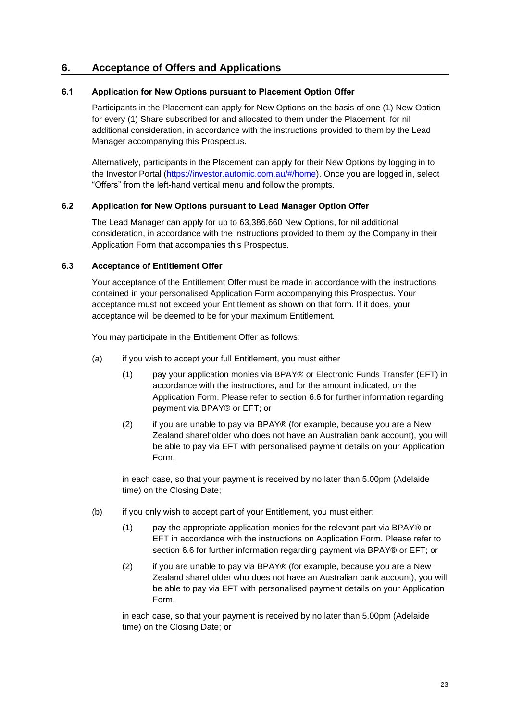# **6. Acceptance of Offers and Applications**

## **6.1 Application for New Options pursuant to Placement Option Offer**

Participants in the Placement can apply for New Options on the basis of one (1) New Option for every (1) Share subscribed for and allocated to them under the Placement, for nil additional consideration, in accordance with the instructions provided to them by the Lead Manager accompanying this Prospectus.

Alternatively, participants in the Placement can apply for their New Options by logging in to the Investor Portal [\(https://investor.automic.com.au/#/home\)](https://investor.automic.com.au/#/home). Once you are logged in, select "Offers" from the left-hand vertical menu and follow the prompts.

## **6.2 Application for New Options pursuant to Lead Manager Option Offer**

The Lead Manager can apply for up to 63,386,660 New Options, for nil additional consideration, in accordance with the instructions provided to them by the Company in their Application Form that accompanies this Prospectus.

#### <span id="page-22-0"></span>**6.3 Acceptance of Entitlement Offer**

Your acceptance of the Entitlement Offer must be made in accordance with the instructions contained in your personalised Application Form accompanying this Prospectus. Your acceptance must not exceed your Entitlement as shown on that form. If it does, your acceptance will be deemed to be for your maximum Entitlement.

You may participate in the Entitlement Offer as follows:

- (a) if you wish to accept your full Entitlement, you must either
	- (1) pay your application monies via BPAY® or Electronic Funds Transfer (EFT) in accordance with the instructions, and for the amount indicated, on the Application Form. Please refer to section [6.6](#page-23-0) for further information regarding payment via BPAY® or EFT; or
	- (2) if you are unable to pay via BPAY® (for example, because you are a New Zealand shareholder who does not have an Australian bank account), you will be able to pay via EFT with personalised payment details on your Application Form,

in each case, so that your payment is received by no later than 5.00pm (Adelaide time) on the Closing Date;

- (b) if you only wish to accept part of your Entitlement, you must either:
	- (1) pay the appropriate application monies for the relevant part via BPAY® or EFT in accordance with the instructions on Application Form. Please refer to section [6.6](#page-23-0) for further information regarding payment via BPAY® or EFT; or
	- (2) if you are unable to pay via BPAY® (for example, because you are a New Zealand shareholder who does not have an Australian bank account), you will be able to pay via EFT with personalised payment details on your Application Form,

in each case, so that your payment is received by no later than 5.00pm (Adelaide time) on the Closing Date; or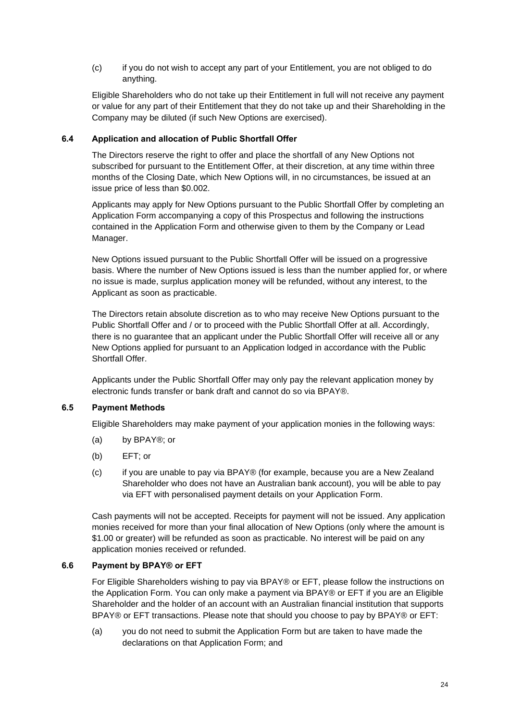(c) if you do not wish to accept any part of your Entitlement, you are not obliged to do anything.

Eligible Shareholders who do not take up their Entitlement in full will not receive any payment or value for any part of their Entitlement that they do not take up and their Shareholding in the Company may be diluted (if such New Options are exercised).

## **6.4 Application and allocation of Public Shortfall Offer**

The Directors reserve the right to offer and place the shortfall of any New Options not subscribed for pursuant to the Entitlement Offer, at their discretion, at any time within three months of the Closing Date, which New Options will, in no circumstances, be issued at an issue price of less than \$0.002.

Applicants may apply for New Options pursuant to the Public Shortfall Offer by completing an Application Form accompanying a copy of this Prospectus and following the instructions contained in the Application Form and otherwise given to them by the Company or Lead Manager.

New Options issued pursuant to the Public Shortfall Offer will be issued on a progressive basis. Where the number of New Options issued is less than the number applied for, or where no issue is made, surplus application money will be refunded, without any interest, to the Applicant as soon as practicable.

The Directors retain absolute discretion as to who may receive New Options pursuant to the Public Shortfall Offer and / or to proceed with the Public Shortfall Offer at all. Accordingly, there is no guarantee that an applicant under the Public Shortfall Offer will receive all or any New Options applied for pursuant to an Application lodged in accordance with the Public Shortfall Offer.

Applicants under the Public Shortfall Offer may only pay the relevant application money by electronic funds transfer or bank draft and cannot do so via BPAY®.

## **6.5 Payment Methods**

Eligible Shareholders may make payment of your application monies in the following ways:

- (a) by BPAY®; or
- (b) EFT; or
- (c) if you are unable to pay via BPAY® (for example, because you are a New Zealand Shareholder who does not have an Australian bank account), you will be able to pay via EFT with personalised payment details on your Application Form.

Cash payments will not be accepted. Receipts for payment will not be issued. Any application monies received for more than your final allocation of New Options (only where the amount is \$1.00 or greater) will be refunded as soon as practicable. No interest will be paid on any application monies received or refunded.

## <span id="page-23-0"></span>**6.6 Payment by BPAY® or EFT**

For Eligible Shareholders wishing to pay via BPAY® or EFT, please follow the instructions on the Application Form. You can only make a payment via BPAY® or EFT if you are an Eligible Shareholder and the holder of an account with an Australian financial institution that supports BPAY® or EFT transactions. Please note that should you choose to pay by BPAY® or EFT:

(a) you do not need to submit the Application Form but are taken to have made the declarations on that Application Form; and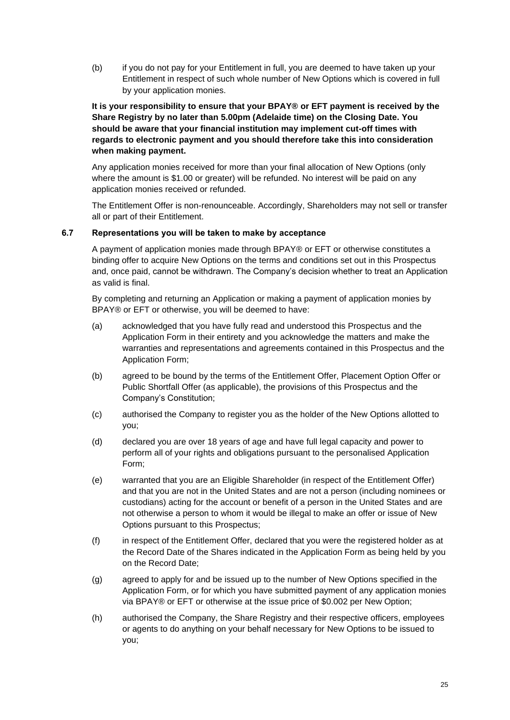(b) if you do not pay for your Entitlement in full, you are deemed to have taken up your Entitlement in respect of such whole number of New Options which is covered in full by your application monies.

## **It is your responsibility to ensure that your BPAY® or EFT payment is received by the Share Registry by no later than 5.00pm (Adelaide time) on the Closing Date. You should be aware that your financial institution may implement cut-off times with regards to electronic payment and you should therefore take this into consideration when making payment.**

Any application monies received for more than your final allocation of New Options (only where the amount is \$1.00 or greater) will be refunded. No interest will be paid on any application monies received or refunded.

The Entitlement Offer is non-renounceable. Accordingly, Shareholders may not sell or transfer all or part of their Entitlement.

## **6.7 Representations you will be taken to make by acceptance**

A payment of application monies made through BPAY® or EFT or otherwise constitutes a binding offer to acquire New Options on the terms and conditions set out in this Prospectus and, once paid, cannot be withdrawn. The Company's decision whether to treat an Application as valid is final.

By completing and returning an Application or making a payment of application monies by BPAY® or EFT or otherwise, you will be deemed to have:

- (a) acknowledged that you have fully read and understood this Prospectus and the Application Form in their entirety and you acknowledge the matters and make the warranties and representations and agreements contained in this Prospectus and the Application Form;
- (b) agreed to be bound by the terms of the Entitlement Offer, Placement Option Offer or Public Shortfall Offer (as applicable), the provisions of this Prospectus and the Company's Constitution;
- (c) authorised the Company to register you as the holder of the New Options allotted to you;
- (d) declared you are over 18 years of age and have full legal capacity and power to perform all of your rights and obligations pursuant to the personalised Application Form;
- (e) warranted that you are an Eligible Shareholder (in respect of the Entitlement Offer) and that you are not in the United States and are not a person (including nominees or custodians) acting for the account or benefit of a person in the United States and are not otherwise a person to whom it would be illegal to make an offer or issue of New Options pursuant to this Prospectus;
- (f) in respect of the Entitlement Offer, declared that you were the registered holder as at the Record Date of the Shares indicated in the Application Form as being held by you on the Record Date;
- (g) agreed to apply for and be issued up to the number of New Options specified in the Application Form, or for which you have submitted payment of any application monies via BPAY® or EFT or otherwise at the issue price of \$0.002 per New Option;
- (h) authorised the Company, the Share Registry and their respective officers, employees or agents to do anything on your behalf necessary for New Options to be issued to you;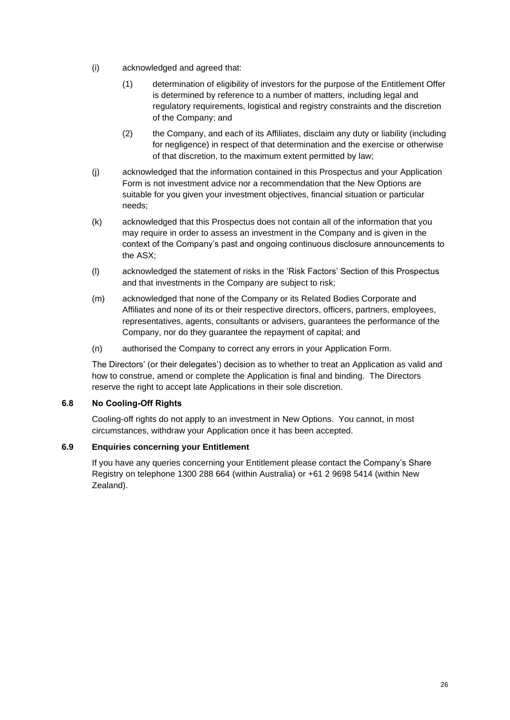- (i) acknowledged and agreed that:
	- (1) determination of eligibility of investors for the purpose of the Entitlement Offer is determined by reference to a number of matters, including legal and regulatory requirements, logistical and registry constraints and the discretion of the Company; and
	- (2) the Company, and each of its Affiliates, disclaim any duty or liability (including for negligence) in respect of that determination and the exercise or otherwise of that discretion, to the maximum extent permitted by law;
- (j) acknowledged that the information contained in this Prospectus and your Application Form is not investment advice nor a recommendation that the New Options are suitable for you given your investment objectives, financial situation or particular needs;
- (k) acknowledged that this Prospectus does not contain all of the information that you may require in order to assess an investment in the Company and is given in the context of the Company's past and ongoing continuous disclosure announcements to the ASX;
- (l) acknowledged the statement of risks in the 'Risk Factors' Section of this Prospectus and that investments in the Company are subject to risk;
- (m) acknowledged that none of the Company or its Related Bodies Corporate and Affiliates and none of its or their respective directors, officers, partners, employees, representatives, agents, consultants or advisers, guarantees the performance of the Company, nor do they guarantee the repayment of capital; and
- (n) authorised the Company to correct any errors in your Application Form.

The Directors' (or their delegates') decision as to whether to treat an Application as valid and how to construe, amend or complete the Application is final and binding. The Directors reserve the right to accept late Applications in their sole discretion.

## **6.8 No Cooling-Off Rights**

Cooling-off rights do not apply to an investment in New Options. You cannot, in most circumstances, withdraw your Application once it has been accepted.

## **6.9 Enquiries concerning your Entitlement**

If you have any queries concerning your Entitlement please contact the Company's Share Registry on telephone 1300 288 664 (within Australia) or +61 2 9698 5414 (within New Zealand).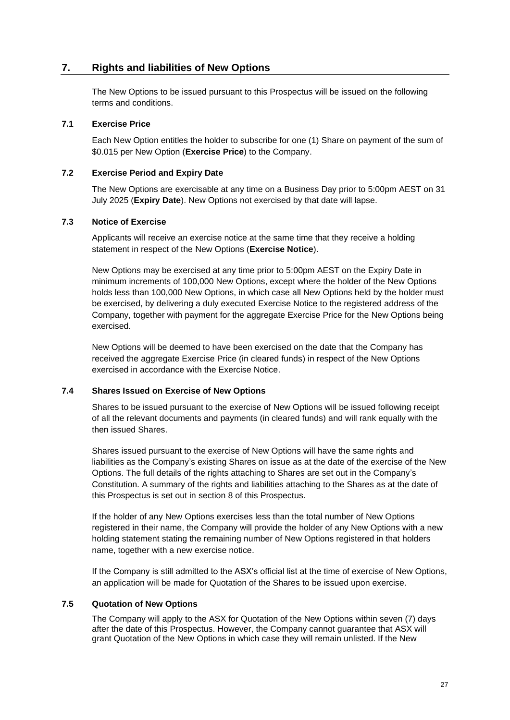# <span id="page-26-0"></span>**7. Rights and liabilities of New Options**

The New Options to be issued pursuant to this Prospectus will be issued on the following terms and conditions.

#### **7.1 Exercise Price**

Each New Option entitles the holder to subscribe for one (1) Share on payment of the sum of \$0.015 per New Option (**Exercise Price**) to the Company.

#### **7.2 Exercise Period and Expiry Date**

The New Options are exercisable at any time on a Business Day prior to 5:00pm AEST on 31 July 2025 (**Expiry Date**). New Options not exercised by that date will lapse.

#### **7.3 Notice of Exercise**

Applicants will receive an exercise notice at the same time that they receive a holding statement in respect of the New Options (**Exercise Notice**).

New Options may be exercised at any time prior to 5:00pm AEST on the Expiry Date in minimum increments of 100,000 New Options, except where the holder of the New Options holds less than 100,000 New Options, in which case all New Options held by the holder must be exercised, by delivering a duly executed Exercise Notice to the registered address of the Company, together with payment for the aggregate Exercise Price for the New Options being exercised.

New Options will be deemed to have been exercised on the date that the Company has received the aggregate Exercise Price (in cleared funds) in respect of the New Options exercised in accordance with the Exercise Notice.

#### **7.4 Shares Issued on Exercise of New Options**

Shares to be issued pursuant to the exercise of New Options will be issued following receipt of all the relevant documents and payments (in cleared funds) and will rank equally with the then issued Shares.

Shares issued pursuant to the exercise of New Options will have the same rights and liabilities as the Company's existing Shares on issue as at the date of the exercise of the New Options. The full details of the rights attaching to Shares are set out in the Company's Constitution. A summary of the rights and liabilities attaching to the Shares as at the date of this Prospectus is set out in section [8](#page-27-0) of this Prospectus.

If the holder of any New Options exercises less than the total number of New Options registered in their name, the Company will provide the holder of any New Options with a new holding statement stating the remaining number of New Options registered in that holders name, together with a new exercise notice.

If the Company is still admitted to the ASX's official list at the time of exercise of New Options, an application will be made for Quotation of the Shares to be issued upon exercise.

## **7.5 Quotation of New Options**

The Company will apply to the ASX for Quotation of the New Options within seven (7) days after the date of this Prospectus. However, the Company cannot guarantee that ASX will grant Quotation of the New Options in which case they will remain unlisted. If the New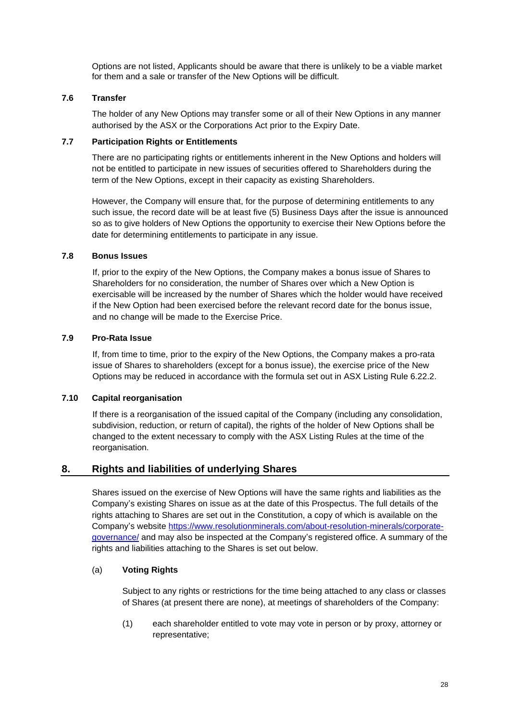Options are not listed, Applicants should be aware that there is unlikely to be a viable market for them and a sale or transfer of the New Options will be difficult.

## **7.6 Transfer**

The holder of any New Options may transfer some or all of their New Options in any manner authorised by the ASX or the Corporations Act prior to the Expiry Date.

## **7.7 Participation Rights or Entitlements**

There are no participating rights or entitlements inherent in the New Options and holders will not be entitled to participate in new issues of securities offered to Shareholders during the term of the New Options, except in their capacity as existing Shareholders.

However, the Company will ensure that, for the purpose of determining entitlements to any such issue, the record date will be at least five (5) Business Days after the issue is announced so as to give holders of New Options the opportunity to exercise their New Options before the date for determining entitlements to participate in any issue.

## **7.8 Bonus Issues**

If, prior to the expiry of the New Options, the Company makes a bonus issue of Shares to Shareholders for no consideration, the number of Shares over which a New Option is exercisable will be increased by the number of Shares which the holder would have received if the New Option had been exercised before the relevant record date for the bonus issue, and no change will be made to the Exercise Price.

## **7.9 Pro-Rata Issue**

If, from time to time, prior to the expiry of the New Options, the Company makes a pro-rata issue of Shares to shareholders (except for a bonus issue), the exercise price of the New Options may be reduced in accordance with the formula set out in ASX Listing Rule 6.22.2.

## **7.10 Capital reorganisation**

If there is a reorganisation of the issued capital of the Company (including any consolidation, subdivision, reduction, or return of capital), the rights of the holder of New Options shall be changed to the extent necessary to comply with the ASX Listing Rules at the time of the reorganisation.

## <span id="page-27-0"></span>**8. Rights and liabilities of underlying Shares**

Shares issued on the exercise of New Options will have the same rights and liabilities as the Company's existing Shares on issue as at the date of this Prospectus. The full details of the rights attaching to Shares are set out in the Constitution, a copy of which is available on the Company's website [https://www.resolutionminerals.com/about-resolution-minerals/corporate](https://www.resolutionminerals.com/about-resolution-minerals/corporate-governance/)[governance/](https://www.resolutionminerals.com/about-resolution-minerals/corporate-governance/) and may also be inspected at the Company's registered office. A summary of the rights and liabilities attaching to the Shares is set out below.

## (a) **Voting Rights**

Subject to any rights or restrictions for the time being attached to any class or classes of Shares (at present there are none), at meetings of shareholders of the Company:

(1) each shareholder entitled to vote may vote in person or by proxy, attorney or representative;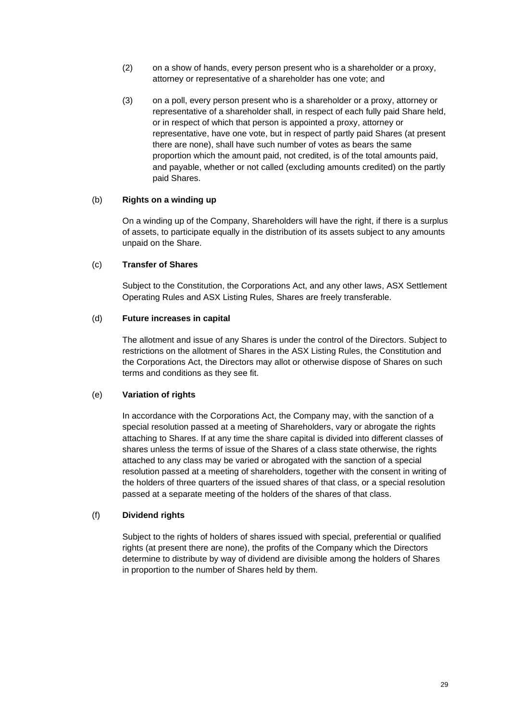- (2) on a show of hands, every person present who is a shareholder or a proxy, attorney or representative of a shareholder has one vote; and
- (3) on a poll, every person present who is a shareholder or a proxy, attorney or representative of a shareholder shall, in respect of each fully paid Share held, or in respect of which that person is appointed a proxy, attorney or representative, have one vote, but in respect of partly paid Shares (at present there are none), shall have such number of votes as bears the same proportion which the amount paid, not credited, is of the total amounts paid, and payable, whether or not called (excluding amounts credited) on the partly paid Shares.

#### (b) **Rights on a winding up**

On a winding up of the Company, Shareholders will have the right, if there is a surplus of assets, to participate equally in the distribution of its assets subject to any amounts unpaid on the Share.

#### (c) **Transfer of Shares**

Subject to the Constitution, the Corporations Act, and any other laws, ASX Settlement Operating Rules and ASX Listing Rules, Shares are freely transferable.

## (d) **Future increases in capital**

The allotment and issue of any Shares is under the control of the Directors. Subject to restrictions on the allotment of Shares in the ASX Listing Rules, the Constitution and the Corporations Act, the Directors may allot or otherwise dispose of Shares on such terms and conditions as they see fit.

#### (e) **Variation of rights**

In accordance with the Corporations Act, the Company may, with the sanction of a special resolution passed at a meeting of Shareholders, vary or abrogate the rights attaching to Shares. If at any time the share capital is divided into different classes of shares unless the terms of issue of the Shares of a class state otherwise, the rights attached to any class may be varied or abrogated with the sanction of a special resolution passed at a meeting of shareholders, together with the consent in writing of the holders of three quarters of the issued shares of that class, or a special resolution passed at a separate meeting of the holders of the shares of that class.

## (f) **Dividend rights**

Subject to the rights of holders of shares issued with special, preferential or qualified rights (at present there are none), the profits of the Company which the Directors determine to distribute by way of dividend are divisible among the holders of Shares in proportion to the number of Shares held by them.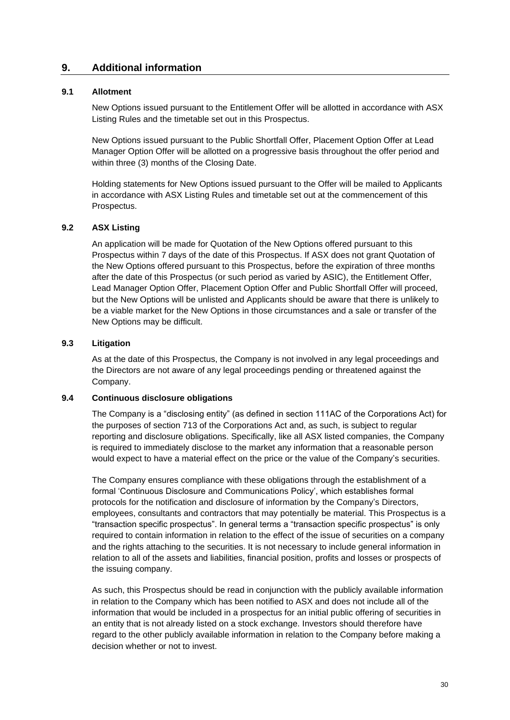## **9. Additional information**

## **9.1 Allotment**

New Options issued pursuant to the Entitlement Offer will be allotted in accordance with ASX Listing Rules and the timetable set out in this Prospectus.

New Options issued pursuant to the Public Shortfall Offer, Placement Option Offer at Lead Manager Option Offer will be allotted on a progressive basis throughout the offer period and within three (3) months of the Closing Date.

Holding statements for New Options issued pursuant to the Offer will be mailed to Applicants in accordance with ASX Listing Rules and timetable set out at the commencement of this Prospectus.

#### **9.2 ASX Listing**

An application will be made for Quotation of the New Options offered pursuant to this Prospectus within 7 days of the date of this Prospectus. If ASX does not grant Quotation of the New Options offered pursuant to this Prospectus, before the expiration of three months after the date of this Prospectus (or such period as varied by ASIC), the Entitlement Offer, Lead Manager Option Offer, Placement Option Offer and Public Shortfall Offer will proceed, but the New Options will be unlisted and Applicants should be aware that there is unlikely to be a viable market for the New Options in those circumstances and a sale or transfer of the New Options may be difficult.

#### **9.3 Litigation**

As at the date of this Prospectus, the Company is not involved in any legal proceedings and the Directors are not aware of any legal proceedings pending or threatened against the Company.

## **9.4 Continuous disclosure obligations**

The Company is a "disclosing entity" (as defined in section 111AC of the Corporations Act) for the purposes of section 713 of the Corporations Act and, as such, is subject to regular reporting and disclosure obligations. Specifically, like all ASX listed companies, the Company is required to immediately disclose to the market any information that a reasonable person would expect to have a material effect on the price or the value of the Company's securities.

The Company ensures compliance with these obligations through the establishment of a formal 'Continuous Disclosure and Communications Policy', which establishes formal protocols for the notification and disclosure of information by the Company's Directors, employees, consultants and contractors that may potentially be material. This Prospectus is a "transaction specific prospectus". In general terms a "transaction specific prospectus" is only required to contain information in relation to the effect of the issue of securities on a company and the rights attaching to the securities. It is not necessary to include general information in relation to all of the assets and liabilities, financial position, profits and losses or prospects of the issuing company.

As such, this Prospectus should be read in conjunction with the publicly available information in relation to the Company which has been notified to ASX and does not include all of the information that would be included in a prospectus for an initial public offering of securities in an entity that is not already listed on a stock exchange. Investors should therefore have regard to the other publicly available information in relation to the Company before making a decision whether or not to invest.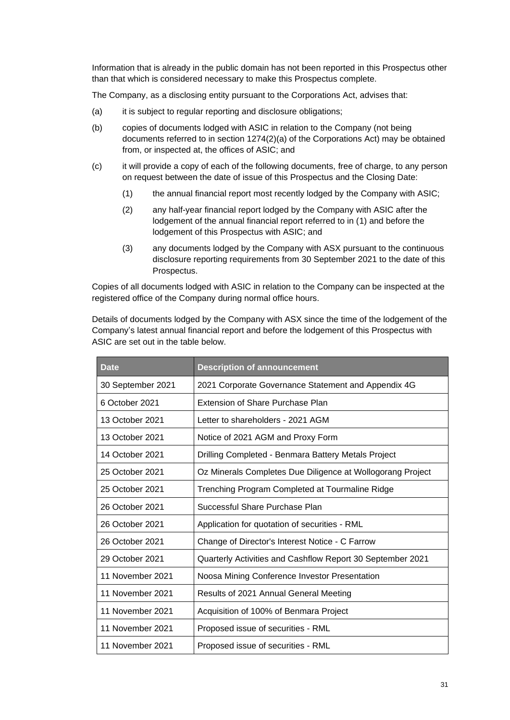Information that is already in the public domain has not been reported in this Prospectus other than that which is considered necessary to make this Prospectus complete.

The Company, as a disclosing entity pursuant to the Corporations Act, advises that:

- (a) it is subject to regular reporting and disclosure obligations;
- (b) copies of documents lodged with ASIC in relation to the Company (not being documents referred to in section 1274(2)(a) of the Corporations Act) may be obtained from, or inspected at, the offices of ASIC; and
- (c) it will provide a copy of each of the following documents, free of charge, to any person on request between the date of issue of this Prospectus and the Closing Date:
	- (1) the annual financial report most recently lodged by the Company with ASIC;
	- (2) any half-year financial report lodged by the Company with ASIC after the lodgement of the annual financial report referred to in (1) and before the lodgement of this Prospectus with ASIC; and
	- (3) any documents lodged by the Company with ASX pursuant to the continuous disclosure reporting requirements from 30 September 2021 to the date of this Prospectus.

Copies of all documents lodged with ASIC in relation to the Company can be inspected at the registered office of the Company during normal office hours.

Details of documents lodged by the Company with ASX since the time of the lodgement of the Company's latest annual financial report and before the lodgement of this Prospectus with ASIC are set out in the table below.

| <b>Date</b>                                                        | <b>Description of announcement</b>                         |  |
|--------------------------------------------------------------------|------------------------------------------------------------|--|
| 30 September 2021                                                  | 2021 Corporate Governance Statement and Appendix 4G        |  |
| Extension of Share Purchase Plan<br>6 October 2021                 |                                                            |  |
| 13 October 2021                                                    | Letter to shareholders - 2021 AGM                          |  |
| 13 October 2021                                                    | Notice of 2021 AGM and Proxy Form                          |  |
| 14 October 2021                                                    | Drilling Completed - Benmara Battery Metals Project        |  |
| 25 October 2021                                                    | Oz Minerals Completes Due Diligence at Wollogorang Project |  |
| 25 October 2021<br>Trenching Program Completed at Tourmaline Ridge |                                                            |  |
| Successful Share Purchase Plan<br>26 October 2021                  |                                                            |  |
| 26 October 2021                                                    | Application for quotation of securities - RML              |  |
| 26 October 2021                                                    | Change of Director's Interest Notice - C Farrow            |  |
| 29 October 2021                                                    | Quarterly Activities and Cashflow Report 30 September 2021 |  |
| 11 November 2021                                                   | Noosa Mining Conference Investor Presentation              |  |
| 11 November 2021                                                   | Results of 2021 Annual General Meeting                     |  |
| 11 November 2021                                                   | Acquisition of 100% of Benmara Project                     |  |
| 11 November 2021                                                   | Proposed issue of securities - RML                         |  |
| 11 November 2021                                                   | Proposed issue of securities - RML                         |  |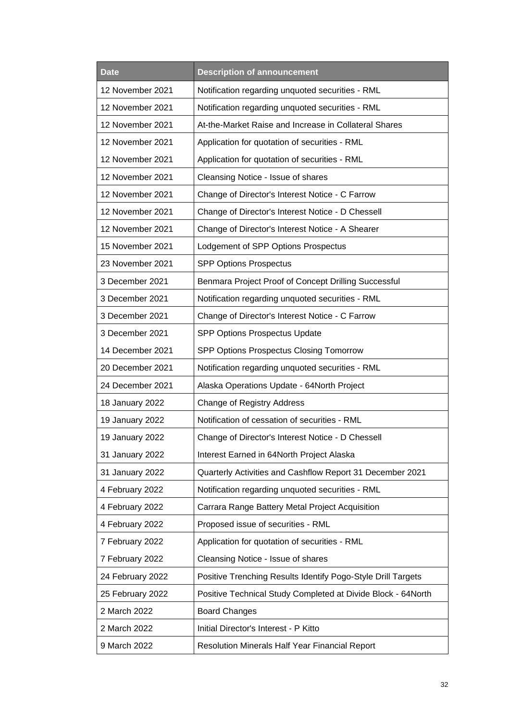| <b>Description of announcement</b><br><b>Date</b> |                                                              |  |  |
|---------------------------------------------------|--------------------------------------------------------------|--|--|
| 12 November 2021                                  | Notification regarding unquoted securities - RML             |  |  |
| 12 November 2021                                  | Notification regarding unquoted securities - RML             |  |  |
| 12 November 2021                                  | At-the-Market Raise and Increase in Collateral Shares        |  |  |
| 12 November 2021                                  | Application for quotation of securities - RML                |  |  |
| 12 November 2021                                  | Application for quotation of securities - RML                |  |  |
| 12 November 2021                                  | Cleansing Notice - Issue of shares                           |  |  |
| 12 November 2021                                  | Change of Director's Interest Notice - C Farrow              |  |  |
| 12 November 2021                                  | Change of Director's Interest Notice - D Chessell            |  |  |
| 12 November 2021                                  | Change of Director's Interest Notice - A Shearer             |  |  |
| 15 November 2021                                  | Lodgement of SPP Options Prospectus                          |  |  |
| 23 November 2021                                  | <b>SPP Options Prospectus</b>                                |  |  |
| 3 December 2021                                   | Benmara Project Proof of Concept Drilling Successful         |  |  |
| 3 December 2021                                   | Notification regarding unquoted securities - RML             |  |  |
| 3 December 2021                                   | Change of Director's Interest Notice - C Farrow              |  |  |
| 3 December 2021<br>SPP Options Prospectus Update  |                                                              |  |  |
| 14 December 2021                                  | SPP Options Prospectus Closing Tomorrow                      |  |  |
| 20 December 2021                                  | Notification regarding unquoted securities - RML             |  |  |
| 24 December 2021                                  | Alaska Operations Update - 64North Project                   |  |  |
| 18 January 2022                                   | <b>Change of Registry Address</b>                            |  |  |
| 19 January 2022                                   | Notification of cessation of securities - RML                |  |  |
| 19 January 2022                                   | Change of Director's Interest Notice - D Chessell            |  |  |
| 31 January 2022                                   | Interest Earned in 64North Project Alaska                    |  |  |
| 31 January 2022                                   | Quarterly Activities and Cashflow Report 31 December 2021    |  |  |
| 4 February 2022                                   | Notification regarding unquoted securities - RML             |  |  |
| 4 February 2022                                   | Carrara Range Battery Metal Project Acquisition              |  |  |
| 4 February 2022                                   | Proposed issue of securities - RML                           |  |  |
| 7 February 2022                                   | Application for quotation of securities - RML                |  |  |
| 7 February 2022                                   | Cleansing Notice - Issue of shares                           |  |  |
| 24 February 2022                                  | Positive Trenching Results Identify Pogo-Style Drill Targets |  |  |
| 25 February 2022                                  | Positive Technical Study Completed at Divide Block - 64North |  |  |
| 2 March 2022                                      | <b>Board Changes</b>                                         |  |  |
| 2 March 2022                                      | Initial Director's Interest - P Kitto                        |  |  |
| 9 March 2022                                      | Resolution Minerals Half Year Financial Report               |  |  |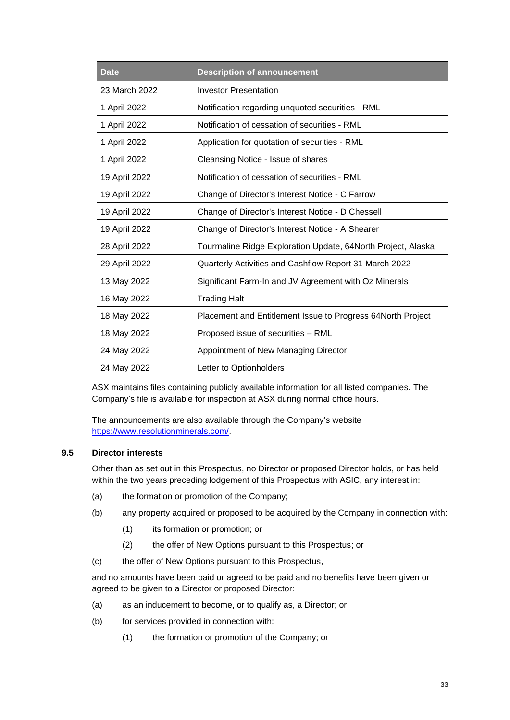| <b>Date</b>   | <b>Description of announcement</b>                           |  |
|---------------|--------------------------------------------------------------|--|
| 23 March 2022 | <b>Investor Presentation</b>                                 |  |
| 1 April 2022  | Notification regarding unquoted securities - RML             |  |
| 1 April 2022  | Notification of cessation of securities - RML                |  |
| 1 April 2022  | Application for quotation of securities - RML                |  |
| 1 April 2022  | Cleansing Notice - Issue of shares                           |  |
| 19 April 2022 | Notification of cessation of securities - RML                |  |
| 19 April 2022 | Change of Director's Interest Notice - C Farrow              |  |
| 19 April 2022 | Change of Director's Interest Notice - D Chessell            |  |
| 19 April 2022 | Change of Director's Interest Notice - A Shearer             |  |
| 28 April 2022 | Tourmaline Ridge Exploration Update, 64North Project, Alaska |  |
| 29 April 2022 | Quarterly Activities and Cashflow Report 31 March 2022       |  |
| 13 May 2022   | Significant Farm-In and JV Agreement with Oz Minerals        |  |
| 16 May 2022   | <b>Trading Halt</b>                                          |  |
| 18 May 2022   | Placement and Entitlement Issue to Progress 64North Project  |  |
| 18 May 2022   | Proposed issue of securities - RML                           |  |
| 24 May 2022   | Appointment of New Managing Director                         |  |
| 24 May 2022   | Letter to Optionholders                                      |  |

ASX maintains files containing publicly available information for all listed companies. The Company's file is available for inspection at ASX during normal office hours.

The announcements are also available through the Company's website [https://www.resolutionminerals.com/.](https://www.resolutionminerals.com/)

## **9.5 Director interests**

Other than as set out in this Prospectus, no Director or proposed Director holds, or has held within the two years preceding lodgement of this Prospectus with ASIC, any interest in:

- (a) the formation or promotion of the Company;
- (b) any property acquired or proposed to be acquired by the Company in connection with:
	- (1) its formation or promotion; or
	- (2) the offer of New Options pursuant to this Prospectus; or
- (c) the offer of New Options pursuant to this Prospectus,

and no amounts have been paid or agreed to be paid and no benefits have been given or agreed to be given to a Director or proposed Director:

- (a) as an inducement to become, or to qualify as, a Director; or
- (b) for services provided in connection with:
	- (1) the formation or promotion of the Company; or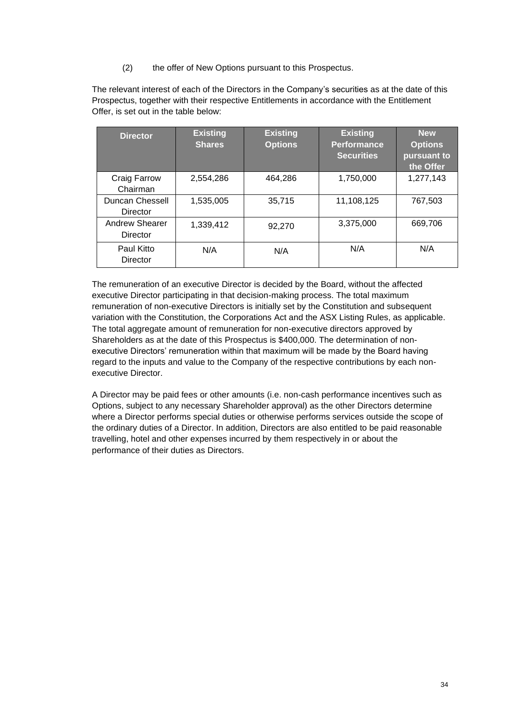(2) the offer of New Options pursuant to this Prospectus.

The relevant interest of each of the Directors in the Company's securities as at the date of this Prospectus, together with their respective Entitlements in accordance with the Entitlement Offer, is set out in the table below:

| <b>Director</b>                   | <b>Existing</b><br><b>Shares</b> | <b>Existing</b><br><b>Options</b> | <b>Existing</b><br><b>Performance</b><br><b>Securities</b> | <b>New</b><br><b>Options</b><br>pursuant to<br>the Offer |
|-----------------------------------|----------------------------------|-----------------------------------|------------------------------------------------------------|----------------------------------------------------------|
| Craig Farrow<br>Chairman          | 2,554,286                        | 464,286                           | 1,750,000                                                  | 1,277,143                                                |
| Duncan Chessell<br>Director       | 1,535,005                        | 35,715                            | 11,108,125                                                 | 767,503                                                  |
| <b>Andrew Shearer</b><br>Director | 1,339,412                        | 92,270                            | 3,375,000                                                  | 669,706                                                  |
| Paul Kitto<br>Director            | N/A                              | N/A                               | N/A                                                        | N/A                                                      |

The remuneration of an executive Director is decided by the Board, without the affected executive Director participating in that decision-making process. The total maximum remuneration of non-executive Directors is initially set by the Constitution and subsequent variation with the Constitution, the Corporations Act and the ASX Listing Rules, as applicable. The total aggregate amount of remuneration for non-executive directors approved by Shareholders as at the date of this Prospectus is \$400,000. The determination of nonexecutive Directors' remuneration within that maximum will be made by the Board having regard to the inputs and value to the Company of the respective contributions by each nonexecutive Director.

A Director may be paid fees or other amounts (i.e. non-cash performance incentives such as Options, subject to any necessary Shareholder approval) as the other Directors determine where a Director performs special duties or otherwise performs services outside the scope of the ordinary duties of a Director. In addition, Directors are also entitled to be paid reasonable travelling, hotel and other expenses incurred by them respectively in or about the performance of their duties as Directors.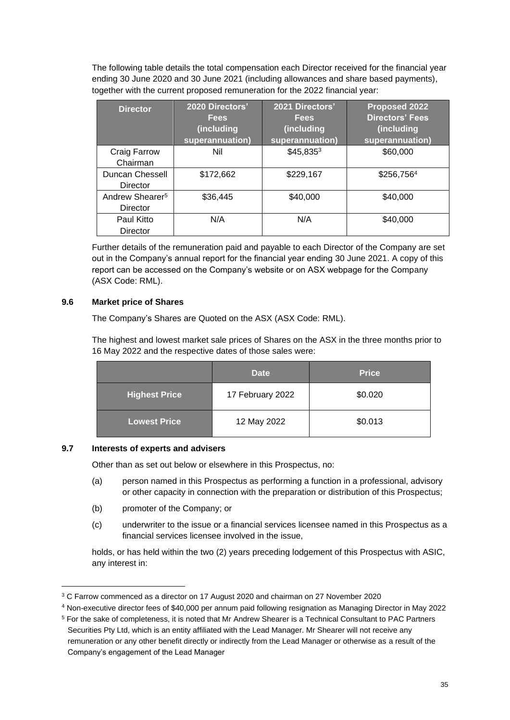The following table details the total compensation each Director received for the financial year ending 30 June 2020 and 30 June 2021 (including allowances and share based payments), together with the current proposed remuneration for the 2022 financial year:

| <b>Director</b>             | 2020 Directors'<br><b>Fees</b><br>(including | 2021 Directors'<br><b>Fees</b><br>(including | <b>Proposed 2022</b><br><b>Directors' Fees</b><br>(including |
|-----------------------------|----------------------------------------------|----------------------------------------------|--------------------------------------------------------------|
|                             | superannuation)                              | superannuation)                              | superannuation)                                              |
| Craig Farrow                | Nil                                          | $$45,835^3$                                  | \$60,000                                                     |
| Chairman                    |                                              |                                              |                                                              |
| Duncan Chessell             | \$172,662                                    | \$229,167                                    | \$256,7564                                                   |
| Director                    |                                              |                                              |                                                              |
| Andrew Shearer <sup>5</sup> | \$36,445                                     | \$40,000                                     | \$40,000                                                     |
| Director                    |                                              |                                              |                                                              |
| Paul Kitto                  | N/A                                          | N/A                                          | \$40,000                                                     |
| Director                    |                                              |                                              |                                                              |

Further details of the remuneration paid and payable to each Director of the Company are set out in the Company's annual report for the financial year ending 30 June 2021. A copy of this report can be accessed on the Company's website or on ASX webpage for the Company (ASX Code: RML).

## **9.6 Market price of Shares**

The Company's Shares are Quoted on the ASX (ASX Code: RML).

The highest and lowest market sale prices of Shares on the ASX in the three months prior to 16 May 2022 and the respective dates of those sales were:

|                      | <b>Date</b>      | <b>Price</b> |
|----------------------|------------------|--------------|
| <b>Highest Price</b> | 17 February 2022 | \$0.020      |
| <b>Lowest Price</b>  | 12 May 2022      | \$0.013      |

## **9.7 Interests of experts and advisers**

Other than as set out below or elsewhere in this Prospectus, no:

- (a) person named in this Prospectus as performing a function in a professional, advisory or other capacity in connection with the preparation or distribution of this Prospectus;
- (b) promoter of the Company; or
- (c) underwriter to the issue or a financial services licensee named in this Prospectus as a financial services licensee involved in the issue,

holds, or has held within the two (2) years preceding lodgement of this Prospectus with ASIC, any interest in:

<sup>3</sup> C Farrow commenced as a director on 17 August 2020 and chairman on 27 November 2020

<sup>4</sup> Non-executive director fees of \$40,000 per annum paid following resignation as Managing Director in May 2022

<sup>5</sup> For the sake of completeness, it is noted that Mr Andrew Shearer is a Technical Consultant to PAC Partners Securities Pty Ltd, which is an entity affiliated with the Lead Manager. Mr Shearer will not receive any remuneration or any other benefit directly or indirectly from the Lead Manager or otherwise as a result of the Company's engagement of the Lead Manager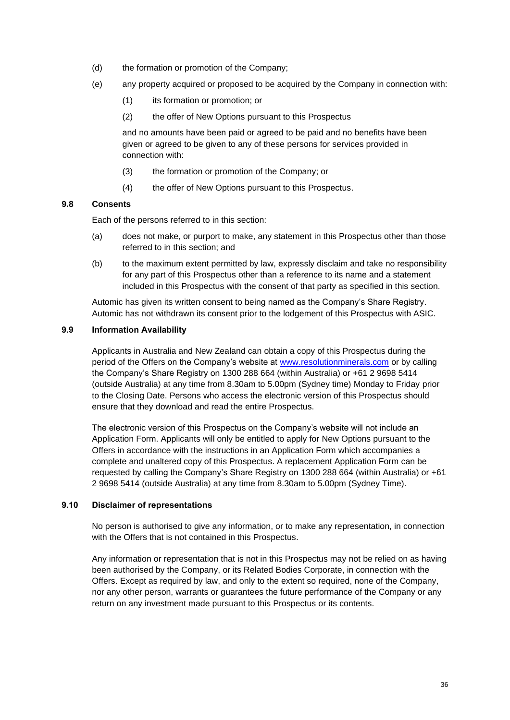- (d) the formation or promotion of the Company;
- (e) any property acquired or proposed to be acquired by the Company in connection with:
	- (1) its formation or promotion; or
	- (2) the offer of New Options pursuant to this Prospectus

and no amounts have been paid or agreed to be paid and no benefits have been given or agreed to be given to any of these persons for services provided in connection with:

- (3) the formation or promotion of the Company; or
- (4) the offer of New Options pursuant to this Prospectus.

## **9.8 Consents**

Each of the persons referred to in this section:

- (a) does not make, or purport to make, any statement in this Prospectus other than those referred to in this section; and
- (b) to the maximum extent permitted by law, expressly disclaim and take no responsibility for any part of this Prospectus other than a reference to its name and a statement included in this Prospectus with the consent of that party as specified in this section.

Automic has given its written consent to being named as the Company's Share Registry. Automic has not withdrawn its consent prior to the lodgement of this Prospectus with ASIC.

#### **9.9 Information Availability**

Applicants in Australia and New Zealand can obtain a copy of this Prospectus during the period of the Offers on the Company's website at [www.resolutionminerals.com](http://www.resolutionminerals.com/) or by calling the Company's Share Registry on 1300 288 664 (within Australia) or +61 2 9698 5414 (outside Australia) at any time from 8.30am to 5.00pm (Sydney time) Monday to Friday prior to the Closing Date. Persons who access the electronic version of this Prospectus should ensure that they download and read the entire Prospectus.

The electronic version of this Prospectus on the Company's website will not include an Application Form. Applicants will only be entitled to apply for New Options pursuant to the Offers in accordance with the instructions in an Application Form which accompanies a complete and unaltered copy of this Prospectus. A replacement Application Form can be requested by calling the Company's Share Registry on 1300 288 664 (within Australia) or +61 2 9698 5414 (outside Australia) at any time from 8.30am to 5.00pm (Sydney Time).

## **9.10 Disclaimer of representations**

No person is authorised to give any information, or to make any representation, in connection with the Offers that is not contained in this Prospectus.

Any information or representation that is not in this Prospectus may not be relied on as having been authorised by the Company, or its Related Bodies Corporate, in connection with the Offers. Except as required by law, and only to the extent so required, none of the Company, nor any other person, warrants or guarantees the future performance of the Company or any return on any investment made pursuant to this Prospectus or its contents.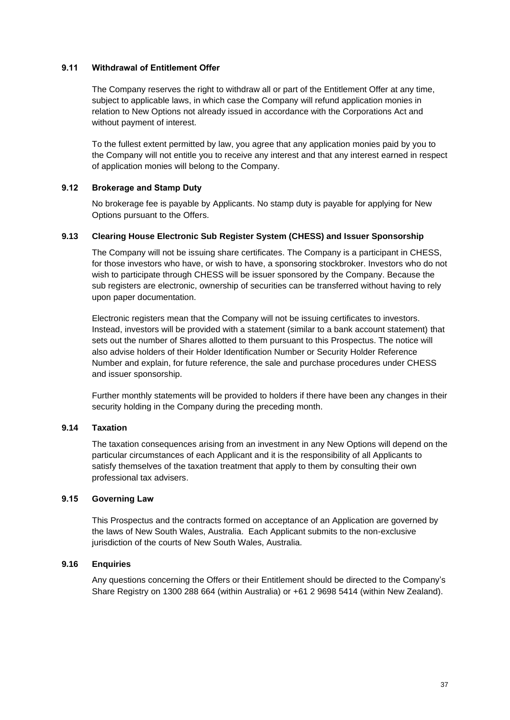## **9.11 Withdrawal of Entitlement Offer**

The Company reserves the right to withdraw all or part of the Entitlement Offer at any time, subject to applicable laws, in which case the Company will refund application monies in relation to New Options not already issued in accordance with the Corporations Act and without payment of interest.

To the fullest extent permitted by law, you agree that any application monies paid by you to the Company will not entitle you to receive any interest and that any interest earned in respect of application monies will belong to the Company.

## **9.12 Brokerage and Stamp Duty**

No brokerage fee is payable by Applicants. No stamp duty is payable for applying for New Options pursuant to the Offers.

## **9.13 Clearing House Electronic Sub Register System (CHESS) and Issuer Sponsorship**

The Company will not be issuing share certificates. The Company is a participant in CHESS, for those investors who have, or wish to have, a sponsoring stockbroker. Investors who do not wish to participate through CHESS will be issuer sponsored by the Company. Because the sub registers are electronic, ownership of securities can be transferred without having to rely upon paper documentation.

Electronic registers mean that the Company will not be issuing certificates to investors. Instead, investors will be provided with a statement (similar to a bank account statement) that sets out the number of Shares allotted to them pursuant to this Prospectus. The notice will also advise holders of their Holder Identification Number or Security Holder Reference Number and explain, for future reference, the sale and purchase procedures under CHESS and issuer sponsorship.

Further monthly statements will be provided to holders if there have been any changes in their security holding in the Company during the preceding month.

## **9.14 Taxation**

The taxation consequences arising from an investment in any New Options will depend on the particular circumstances of each Applicant and it is the responsibility of all Applicants to satisfy themselves of the taxation treatment that apply to them by consulting their own professional tax advisers.

## **9.15 Governing Law**

This Prospectus and the contracts formed on acceptance of an Application are governed by the laws of New South Wales, Australia. Each Applicant submits to the non-exclusive jurisdiction of the courts of New South Wales, Australia.

## **9.16 Enquiries**

Any questions concerning the Offers or their Entitlement should be directed to the Company's Share Registry on 1300 288 664 (within Australia) or +61 2 9698 5414 (within New Zealand).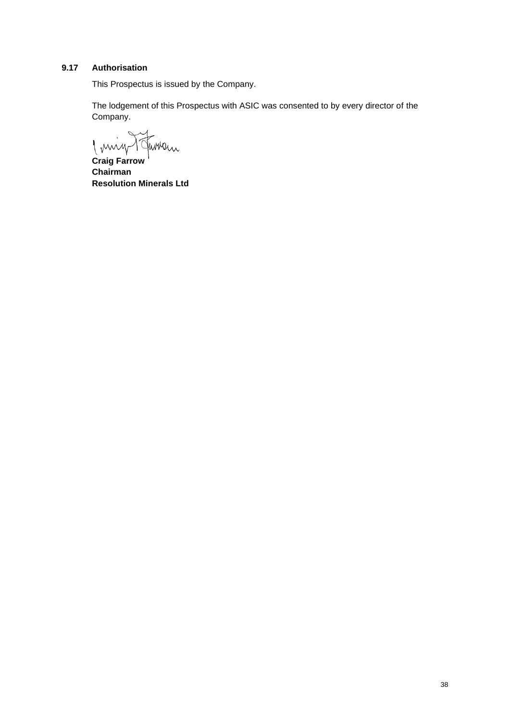## **9.17 Authorisation**

This Prospectus is issued by the Company.

The lodgement of this Prospectus with ASIC was consented to by every director of the Company.

Imig Turnen

**Craig Farrow Chairman Resolution Minerals Ltd**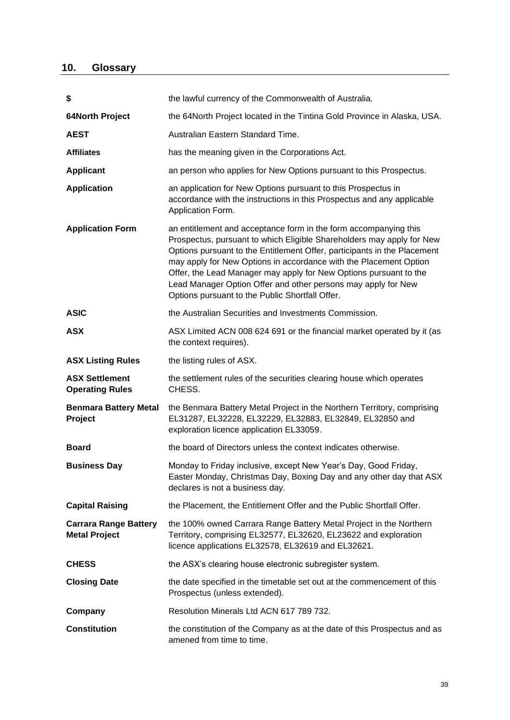# <span id="page-38-0"></span>**10. Glossary**

| \$                                                   | the lawful currency of the Commonwealth of Australia.                                                                                                                                                                                                                                                                                                                                                                                                                               |  |
|------------------------------------------------------|-------------------------------------------------------------------------------------------------------------------------------------------------------------------------------------------------------------------------------------------------------------------------------------------------------------------------------------------------------------------------------------------------------------------------------------------------------------------------------------|--|
| <b>64North Project</b>                               | the 64North Project located in the Tintina Gold Province in Alaska, USA.                                                                                                                                                                                                                                                                                                                                                                                                            |  |
| <b>AEST</b>                                          | Australian Eastern Standard Time.                                                                                                                                                                                                                                                                                                                                                                                                                                                   |  |
| <b>Affiliates</b>                                    | has the meaning given in the Corporations Act.                                                                                                                                                                                                                                                                                                                                                                                                                                      |  |
| <b>Applicant</b>                                     | an person who applies for New Options pursuant to this Prospectus.                                                                                                                                                                                                                                                                                                                                                                                                                  |  |
| <b>Application</b>                                   | an application for New Options pursuant to this Prospectus in<br>accordance with the instructions in this Prospectus and any applicable<br>Application Form.                                                                                                                                                                                                                                                                                                                        |  |
| <b>Application Form</b>                              | an entitlement and acceptance form in the form accompanying this<br>Prospectus, pursuant to which Eligible Shareholders may apply for New<br>Options pursuant to the Entitlement Offer, participants in the Placement<br>may apply for New Options in accordance with the Placement Option<br>Offer, the Lead Manager may apply for New Options pursuant to the<br>Lead Manager Option Offer and other persons may apply for New<br>Options pursuant to the Public Shortfall Offer. |  |
| <b>ASIC</b>                                          | the Australian Securities and Investments Commission.                                                                                                                                                                                                                                                                                                                                                                                                                               |  |
| <b>ASX</b>                                           | ASX Limited ACN 008 624 691 or the financial market operated by it (as<br>the context requires).                                                                                                                                                                                                                                                                                                                                                                                    |  |
| <b>ASX Listing Rules</b>                             | the listing rules of ASX.                                                                                                                                                                                                                                                                                                                                                                                                                                                           |  |
|                                                      |                                                                                                                                                                                                                                                                                                                                                                                                                                                                                     |  |
| <b>ASX Settlement</b><br><b>Operating Rules</b>      | the settlement rules of the securities clearing house which operates<br>CHESS.                                                                                                                                                                                                                                                                                                                                                                                                      |  |
| <b>Benmara Battery Metal</b><br>Project              | the Benmara Battery Metal Project in the Northern Territory, comprising<br>EL31287, EL32228, EL32229, EL32883, EL32849, EL32850 and<br>exploration licence application EL33059.                                                                                                                                                                                                                                                                                                     |  |
| <b>Board</b>                                         | the board of Directors unless the context indicates otherwise.                                                                                                                                                                                                                                                                                                                                                                                                                      |  |
| <b>Business Day</b>                                  | Monday to Friday inclusive, except New Year's Day, Good Friday,<br>Easter Monday, Christmas Day, Boxing Day and any other day that ASX<br>declares is not a business day.                                                                                                                                                                                                                                                                                                           |  |
| <b>Capital Raising</b>                               | the Placement, the Entitlement Offer and the Public Shortfall Offer.                                                                                                                                                                                                                                                                                                                                                                                                                |  |
| <b>Carrara Range Battery</b><br><b>Metal Project</b> | the 100% owned Carrara Range Battery Metal Project in the Northern<br>Territory, comprising EL32577, EL32620, EL23622 and exploration<br>licence applications EL32578, EL32619 and EL32621.                                                                                                                                                                                                                                                                                         |  |
| <b>CHESS</b>                                         | the ASX's clearing house electronic subregister system.                                                                                                                                                                                                                                                                                                                                                                                                                             |  |
| <b>Closing Date</b>                                  | the date specified in the timetable set out at the commencement of this<br>Prospectus (unless extended).                                                                                                                                                                                                                                                                                                                                                                            |  |
| Company                                              | Resolution Minerals Ltd ACN 617 789 732.                                                                                                                                                                                                                                                                                                                                                                                                                                            |  |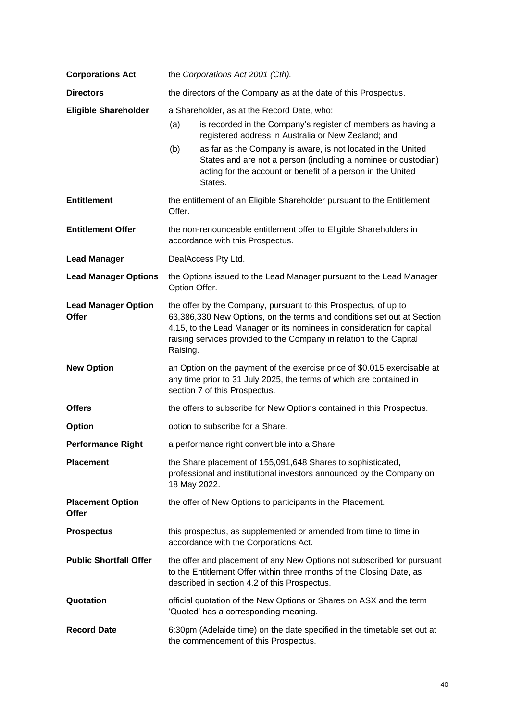| <b>Corporations Act</b>                 | the Corporations Act 2001 (Cth).                                                                       |                                                                                                                                                                                                                                                                                            |  |
|-----------------------------------------|--------------------------------------------------------------------------------------------------------|--------------------------------------------------------------------------------------------------------------------------------------------------------------------------------------------------------------------------------------------------------------------------------------------|--|
| <b>Directors</b>                        | the directors of the Company as at the date of this Prospectus.                                        |                                                                                                                                                                                                                                                                                            |  |
| <b>Eligible Shareholder</b>             | a Shareholder, as at the Record Date, who:                                                             |                                                                                                                                                                                                                                                                                            |  |
|                                         | (a)                                                                                                    | is recorded in the Company's register of members as having a<br>registered address in Australia or New Zealand; and                                                                                                                                                                        |  |
|                                         | (b)                                                                                                    | as far as the Company is aware, is not located in the United<br>States and are not a person (including a nominee or custodian)<br>acting for the account or benefit of a person in the United<br>States.                                                                                   |  |
| <b>Entitlement</b>                      | Offer.                                                                                                 | the entitlement of an Eligible Shareholder pursuant to the Entitlement                                                                                                                                                                                                                     |  |
| <b>Entitlement Offer</b>                | the non-renounceable entitlement offer to Eligible Shareholders in<br>accordance with this Prospectus. |                                                                                                                                                                                                                                                                                            |  |
| <b>Lead Manager</b>                     |                                                                                                        | DealAccess Pty Ltd.                                                                                                                                                                                                                                                                        |  |
| <b>Lead Manager Options</b>             | the Options issued to the Lead Manager pursuant to the Lead Manager<br>Option Offer.                   |                                                                                                                                                                                                                                                                                            |  |
| <b>Lead Manager Option</b><br>Offer     | Raising.                                                                                               | the offer by the Company, pursuant to this Prospectus, of up to<br>63,386,330 New Options, on the terms and conditions set out at Section<br>4.15, to the Lead Manager or its nominees in consideration for capital<br>raising services provided to the Company in relation to the Capital |  |
| <b>New Option</b>                       |                                                                                                        | an Option on the payment of the exercise price of \$0.015 exercisable at<br>any time prior to 31 July 2025, the terms of which are contained in<br>section 7 of this Prospectus.                                                                                                           |  |
| <b>Offers</b>                           |                                                                                                        | the offers to subscribe for New Options contained in this Prospectus.                                                                                                                                                                                                                      |  |
| Option                                  |                                                                                                        | option to subscribe for a Share.                                                                                                                                                                                                                                                           |  |
| <b>Performance Right</b>                |                                                                                                        | a performance right convertible into a Share.                                                                                                                                                                                                                                              |  |
| <b>Placement</b>                        | 18 May 2022.                                                                                           | the Share placement of 155,091,648 Shares to sophisticated,<br>professional and institutional investors announced by the Company on                                                                                                                                                        |  |
| <b>Placement Option</b><br><b>Offer</b> |                                                                                                        | the offer of New Options to participants in the Placement.                                                                                                                                                                                                                                 |  |
| <b>Prospectus</b>                       |                                                                                                        | this prospectus, as supplemented or amended from time to time in<br>accordance with the Corporations Act.                                                                                                                                                                                  |  |
| <b>Public Shortfall Offer</b>           |                                                                                                        | the offer and placement of any New Options not subscribed for pursuant<br>to the Entitlement Offer within three months of the Closing Date, as<br>described in section 4.2 of this Prospectus.                                                                                             |  |
| Quotation                               |                                                                                                        | official quotation of the New Options or Shares on ASX and the term<br>'Quoted' has a corresponding meaning.                                                                                                                                                                               |  |
| <b>Record Date</b>                      |                                                                                                        | 6:30pm (Adelaide time) on the date specified in the timetable set out at<br>the commencement of this Prospectus.                                                                                                                                                                           |  |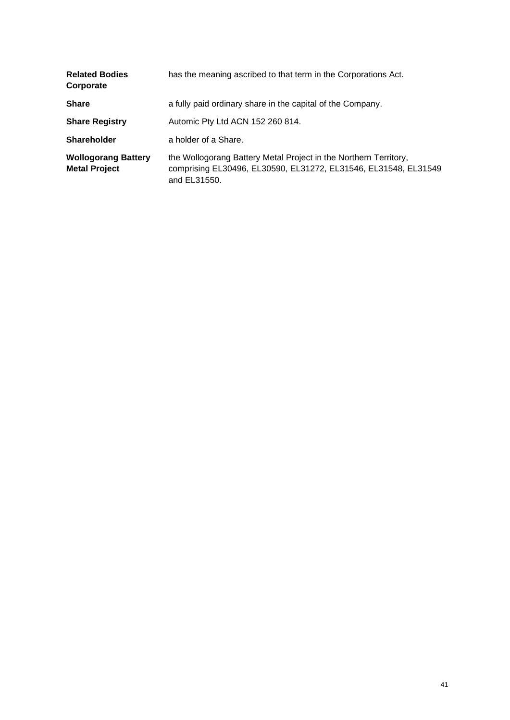| <b>Related Bodies</b><br>Corporate                 | has the meaning ascribed to that term in the Corporations Act.                                                                                      |
|----------------------------------------------------|-----------------------------------------------------------------------------------------------------------------------------------------------------|
| <b>Share</b>                                       | a fully paid ordinary share in the capital of the Company.                                                                                          |
| <b>Share Registry</b>                              | Automic Pty Ltd ACN 152 260 814.                                                                                                                    |
| <b>Shareholder</b>                                 | a holder of a Share.                                                                                                                                |
| <b>Wollogorang Battery</b><br><b>Metal Project</b> | the Wollogorang Battery Metal Project in the Northern Territory,<br>comprising EL30496, EL30590, EL31272, EL31546, EL31548, EL31549<br>and EL31550. |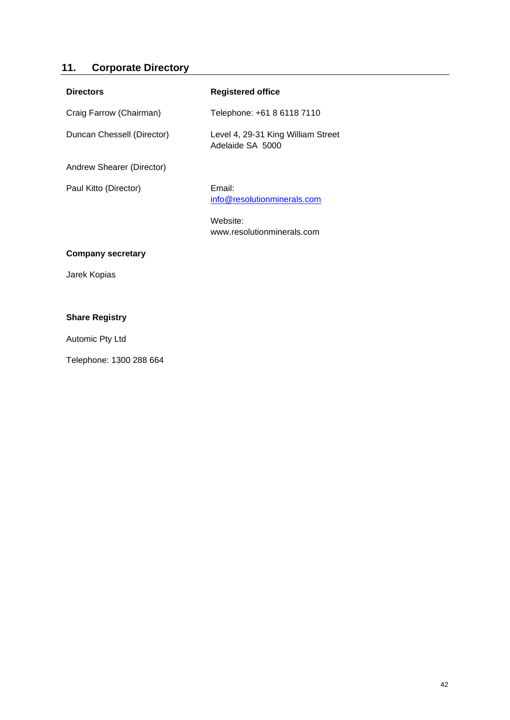# **11. Corporate Directory**

| <b>Directors</b>           | <b>Registered office</b>                               |
|----------------------------|--------------------------------------------------------|
| Craig Farrow (Chairman)    | Telephone: +61 8 6118 7110                             |
| Duncan Chessell (Director) | Level 4, 29-31 King William Street<br>Adelaide SA 5000 |
| Andrew Shearer (Director)  |                                                        |
| Paul Kitto (Director)      | Email:<br>info@resolutionminerals.com                  |
|                            | Website:<br>www.resolutionminerals.com                 |
| <b>Company secretary</b>   |                                                        |
| Jarek Kopias               |                                                        |
|                            |                                                        |
| <b>Share Registry</b>      |                                                        |

Automic Pty Ltd

Telephone: 1300 288 664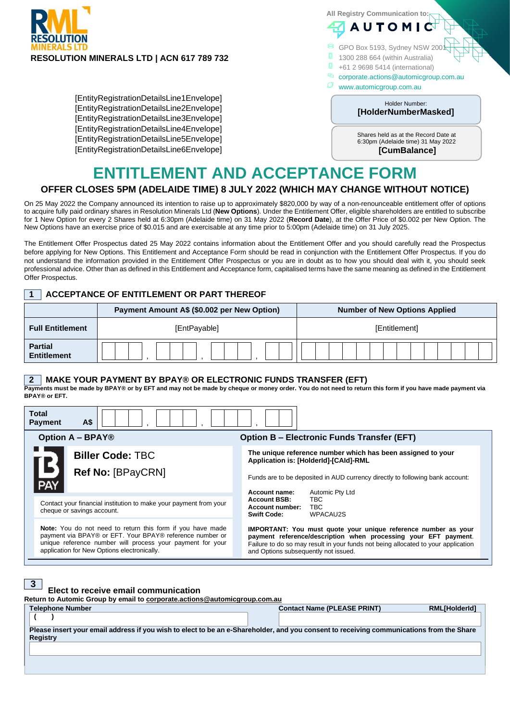

[EntityRegistrationDetailsLine1Envelope] [EntityRegistrationDetailsLine2Envelope] [EntityRegistrationDetailsLine3Envelope] [EntityRegistrationDetailsLine4Envelope] [EntityRegistrationDetailsLine5Envelope] [EntityRegistrationDetailsLine6Envelope] **All Registry Communication to: AUTOM** 

- 
- GPO Box 5193, Sydney NSW 20
- 1300 288 664 (within Australia)
- $\frac{1}{2}$  +61 2 9698 5414 (international)
- corporate.actions@automicgroup.com.au
	- www.automicgroup.com.au

#### en ander Holder Number: **[HolderNumberMasked]**

Shares held as at the Record Date at 6:30pm (Adelaide time) 31 May 2022 **[CumBalance]**

#### [EntityRegistrationDetailsLine1Envelope] **ENTITLEMENT AND ACCEPTANCE FORM**

# **OFFER CLOSES 5PM (ADELAIDE TIME) 8 JULY 2022 (WHICH MAY CHANGE WITHOUT NOTICE)**

on 25 May 2022 the Company announced its intention to raise up to approximately \$820,000 by way of a non-renounceable entitlement offer of options On 25 may 2022 the Company announced its memon to raise up to approximately \$620,000 by way or a non-renounceable entitlement oner or options<br>to acquire fully paid ordinary shares in Resolution Minerals Ltd (**New Options**) for 1 New Option for every 2 Shares held at 6:30pm (Adelaide time) on 31 May 2022 (Record Date), at the Offer Price of \$0.002 per New Option. The New Options have an exercise price of \$0.015 and are exercisable at any time prior to 5:00pm (Adelaide time) on 31 July 2025.

The Entitlement Offer Prospectus dated 25 May 2022 contains information about the Entitlement Offer and you should carefully read the Prospectus before applying for New Options. This Entitlement and Acceptance Form should be read in conjunction with the Entitlement Offer Prospectus. If you do not understand the information provided in the Entitlement Offer Prospectus or you are in doubt as to how you should deal with it, you should seek professional advice. Other than as defined in this Entitlement and Acceptance form, capitalised terms have the same meaning as defined in the Entitlement Offer Prospectus.

## **1 ACCEPTANCE OF ENTITLEMENT OR PART THEREOF**

|                                      | Payment Amount A\$ (\$0.002 per New Option) | <b>Number of New Options Applied</b> |  |  |
|--------------------------------------|---------------------------------------------|--------------------------------------|--|--|
| <b>Full Entitlement</b>              | [EntPayable]                                | [Entitlement]                        |  |  |
| <b>Partial</b><br><b>Entitlement</b> |                                             |                                      |  |  |

#### **2 MAKE YOUR PAYMENT BY BPAY® OR ELECTRONIC FUNDS TRANSFER (EFT)**

**Payments must be made by BPAY® or by EFT and may not be made by cheque or money order. You do not need to return this form if you have made payment via BPAY® or EFT.**

| Total<br>A\$<br><b>Payment</b>                                                                                                                                                                                                             |                                                                                                                                                                                                                                                                |  |
|--------------------------------------------------------------------------------------------------------------------------------------------------------------------------------------------------------------------------------------------|----------------------------------------------------------------------------------------------------------------------------------------------------------------------------------------------------------------------------------------------------------------|--|
| <b>Option A - BPAY®</b><br><b>Option B - Electronic Funds Transfer (EFT)</b>                                                                                                                                                               |                                                                                                                                                                                                                                                                |  |
| <b>Biller Code: TBC</b>                                                                                                                                                                                                                    | The unique reference number which has been assigned to your<br>Application is: [HolderId]-[CAId]-RML                                                                                                                                                           |  |
| L5<br>Ref No: [BPayCRN]<br>PAY                                                                                                                                                                                                             | Funds are to be deposited in AUD currency directly to following bank account:<br>Automic Pty Ltd<br>Account name:                                                                                                                                              |  |
| Contact your financial institution to make your payment from your<br>cheque or savings account.                                                                                                                                            | <b>TBC</b><br><b>Account BSB:</b><br>TBC.<br>Account number:<br><b>Swift Code:</b><br>WPACAU2S                                                                                                                                                                 |  |
| <b>Note:</b> You do not need to return this form if you have made<br>payment via BPAY® or EFT. Your BPAY® reference number or<br>unique reference number will process your payment for your<br>application for New Options electronically. | IMPORTANT: You must quote your unique reference number as your<br>payment reference/description when processing your EFT payment.<br>Failure to do so may result in your funds not being allocated to your application<br>and Options subsequently not issued. |  |

| 3 <sup>1</sup><br>Elect to receive email communication<br>Return to Automic Group by email to corporate.actions@automicgroup.com.au      |                                    |                      |  |  |
|------------------------------------------------------------------------------------------------------------------------------------------|------------------------------------|----------------------|--|--|
|                                                                                                                                          |                                    |                      |  |  |
| <b>Telephone Number</b>                                                                                                                  | <b>Contact Name (PLEASE PRINT)</b> | <b>RML[HolderId]</b> |  |  |
|                                                                                                                                          |                                    |                      |  |  |
| Please insert your email address if you wish to elect to be an e-Shareholder, and you consent to receiving communications from the Share |                                    |                      |  |  |
| <b>Registry</b>                                                                                                                          |                                    |                      |  |  |
|                                                                                                                                          |                                    |                      |  |  |
|                                                                                                                                          |                                    |                      |  |  |
|                                                                                                                                          |                                    |                      |  |  |
|                                                                                                                                          |                                    |                      |  |  |